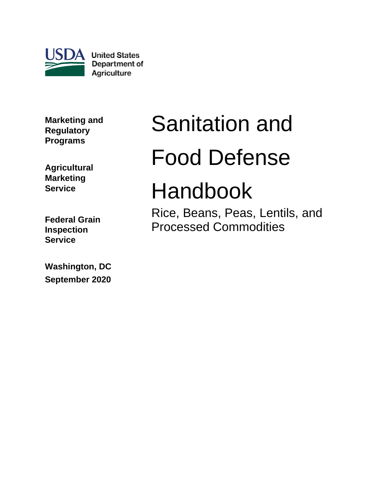

**United States** Department of Agriculture

**Marketing and Regulatory Programs**

**Agricultural Marketing Service**

**Federal Grain Inspection Service**

**Washington, DC September 2020**

# Sanitation and Food Defense

## Handbook

Rice, Beans, Peas, Lentils, and Processed Commodities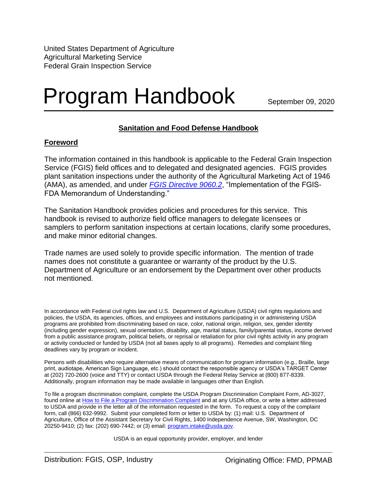United States Department of Agriculture Agricultural Marketing Service Federal Grain Inspection Service

## Program Handbook

September 09, 2020

#### **Sanitation and Food Defense Handbook**

#### **Foreword**

The information contained in this handbook is applicable to the Federal Grain Inspection Service (FGIS) field offices and to delegated and designated agencies. FGIS provides plant sanitation inspections under the authority of the Agricultural Marketing Act of 1946 (AMA), as amended, and under *[FGIS Directive 9060.2](https://www.ams.usda.gov/sites/default/files/media/FGIS9060_2.pdf)*, "Implementation of the FGIS-FDA Memorandum of Understanding."

The Sanitation Handbook provides policies and procedures for this service. This handbook is revised to authorize field office managers to delegate licensees or samplers to perform sanitation inspections at certain locations, clarify some procedures, and make minor editorial changes.

Trade names are used solely to provide specific information. The mention of trade names does not constitute a guarantee or warranty of the product by the U.S. Department of Agriculture or an endorsement by the Department over other products not mentioned.

In accordance with Federal civil rights law and U.S. Department of Agriculture (USDA) civil rights regulations and policies, the USDA, its agencies, offices, and employees and institutions participating in or administering USDA programs are prohibited from discriminating based on race, color, national origin, religion, sex, gender identity (including gender expression), sexual orientation, disability, age, marital status, family/parental status, income derived from a public assistance program, political beliefs, or reprisal or retaliation for prior civil rights activity in any program or activity conducted or funded by USDA (not all bases apply to all programs). Remedies and complaint filing deadlines vary by program or incident.

Persons with disabilities who require alternative means of communication for program information (e.g., Braille, large print, audiotape, American Sign Language, etc.) should contact the responsible agency or USDA's TARGET Center at (202) 720-2600 (voice and TTY) or contact USDA through the Federal Relay Service at (800) 877-8339. Additionally, program information may be made available in languages other than English.

To file a program discrimination complaint, complete the USDA Program Discrimination Complaint Form, AD-3027, found online at [How to File a Program Discrimination Complaint](https://www.ascr.usda.gov/filing-program-discrimination-complaint-usda-customer) and at any USDA office, or write a letter addressed to USDA and provide in the letter all of the information requested in the form. To request a copy of the complaint form, call (866) 632-9992. Submit your completed form or letter to USDA by: (1) mail: U.S. Department of Agriculture, Office of the Assistant Secretary for Civil Rights, 1400 Independence Avenue, SW, Washington, DC 20250-9410; (2) fax: (202) 690-7442; or (3) email: [program.intake@usda.gov.](mailto:program.intake@usda.gov) 

USDA is an equal opportunity provider, employer, and lender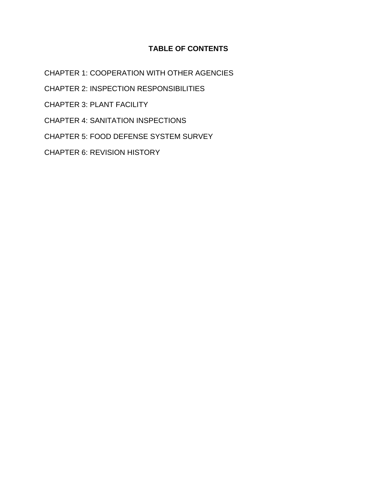#### **TABLE OF CONTENTS**

CHAPTER 1: [COOPERATION WITH OTHER AGENCIES](#page-3-0)

CHAPTER 2: [INSPECTION RESPONSIBILITIES](#page-10-0)

CHAPTER 3: [PLANT FACILITY](#page-16-0)

CHAPTER 4: [SANITATION INSPECTIONS](#page-28-0)

CHAPTER 5: [FOOD DEFENSE SYSTEM SURVEY](#page-48-0)

CHAPTER 6: [REVISION HISTORY](#page-51-0)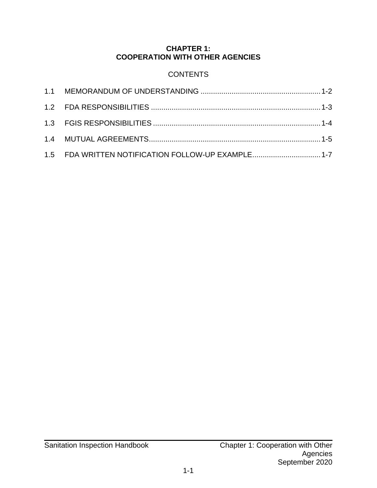#### **CHAPTER 1: COOPERATION WITH OTHER AGENCIES**

### **CONTENTS**

<span id="page-3-0"></span>

| 1.5 FDA WRITTEN NOTIFICATION FOLLOW-UP EXAMPLE1-7 |  |
|---------------------------------------------------|--|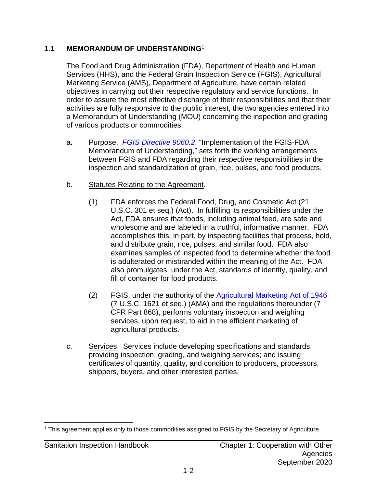#### <span id="page-4-0"></span>**1.1 MEMORANDUM OF UNDERSTANDING**<sup>1</sup>

The Food and Drug Administration (FDA), Department of Health and Human Services (HHS), and the Federal Grain Inspection Service (FGIS), Agricultural Marketing Service (AMS), Department of Agriculture, have certain related objectives in carrying out their respective regulatory and service functions. In order to assure the most effective discharge of their responsibilities and that their activities are fully responsive to the public interest, the two agencies entered into a Memorandum of Understanding (MOU) concerning the inspection and grading of various products or commodities.

- a. Purpose. *[FGIS Directive 9060.2](https://www.ams.usda.gov/sites/default/files/media/FGIS9060_2.pdf)*, "Implementation of the FGIS-FDA Memorandum of Understanding," sets forth the working arrangements between FGIS and FDA regarding their respective responsibilities in the inspection and standardization of grain, rice, pulses, and food products.
- b. Statutes Relating to the Agreement.
	- (1) FDA enforces the Federal Food, Drug, and Cosmetic Act (21 U.S.C. 301 et seq.) (Act). In fulfilling its responsibilities under the Act, FDA ensures that foods, including animal feed, are safe and wholesome and are labeled in a truthful, informative manner. FDA accomplishes this, in part, by inspecting facilities that process, hold, and distribute grain, rice, pulses, and similar food. FDA also examines samples of inspected food to determine whether the food is adulterated or misbranded within the meaning of the Act. FDA also promulgates, under the Act, standards of identity, quality, and fill of container for food products.
	- (2) FGIS, under the authority of the [Agricultural Marketing Act of 1946](https://www.ams.usda.gov/rules-regulations/us-grain-standards-act) (7 U.S.C. 1621 et seq.) (AMA) and the regulations thereunder (7 CFR Part 868), performs voluntary inspection and weighing services, upon request, to aid in the efficient marketing of agricultural products.
- c. Services. Services include developing specifications and standards. providing inspection, grading, and weighing services; and issuing certificates of quantity, quality, and condition to producers, processors, shippers, buyers, and other interested parties.

<sup>1</sup> This agreement applies only to those commodities assigned to FGIS by the Secretary of Agriculture.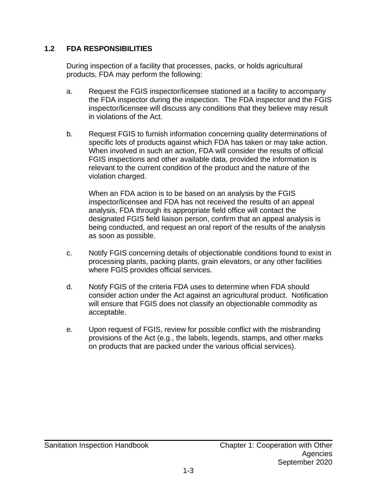#### <span id="page-5-0"></span>**1.2 FDA RESPONSIBILITIES**

During inspection of a facility that processes, packs, or holds agricultural products, FDA may perform the following:

- a. Request the FGIS inspector/licensee stationed at a facility to accompany the FDA inspector during the inspection. The FDA inspector and the FGIS inspector/licensee will discuss any conditions that they believe may result in violations of the Act.
- b. Request FGIS to furnish information concerning quality determinations of specific lots of products against which FDA has taken or may take action. When involved in such an action, FDA will consider the results of official FGIS inspections and other available data, provided the information is relevant to the current condition of the product and the nature of the violation charged.

When an FDA action is to be based on an analysis by the FGIS inspector/licensee and FDA has not received the results of an appeal analysis, FDA through its appropriate field office will contact the designated FGIS field liaison person, confirm that an appeal analysis is being conducted, and request an oral report of the results of the analysis as soon as possible.

- c. Notify FGIS concerning details of objectionable conditions found to exist in processing plants, packing plants, grain elevators, or any other facilities where FGIS provides official services.
- d. Notify FGIS of the criteria FDA uses to determine when FDA should consider action under the Act against an agricultural product. Notification will ensure that FGIS does not classify an objectionable commodity as acceptable.
- e. Upon request of FGIS, review for possible conflict with the misbranding provisions of the Act (e.g., the labels, legends, stamps, and other marks on products that are packed under the various official services).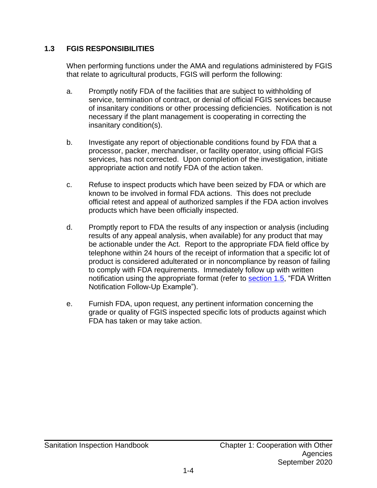#### <span id="page-6-0"></span>**1.3 FGIS RESPONSIBILITIES**

When performing functions under the AMA and regulations administered by FGIS that relate to agricultural products, FGIS will perform the following:

- a. Promptly notify FDA of the facilities that are subject to withholding of service, termination of contract, or denial of official FGIS services because of insanitary conditions or other processing deficiencies. Notification is not necessary if the plant management is cooperating in correcting the insanitary condition(s).
- b. Investigate any report of objectionable conditions found by FDA that a processor, packer, merchandiser, or facility operator, using official FGIS services, has not corrected. Upon completion of the investigation, initiate appropriate action and notify FDA of the action taken.
- c. Refuse to inspect products which have been seized by FDA or which are known to be involved in formal FDA actions. This does not preclude official retest and appeal of authorized samples if the FDA action involves products which have been officially inspected.
- d. Promptly report to FDA the results of any inspection or analysis (including results of any appeal analysis, when available) for any product that may be actionable under the Act. Report to the appropriate FDA field office by telephone within 24 hours of the receipt of information that a specific lot of product is considered adulterated or in noncompliance by reason of failing to comply with FDA requirements. Immediately follow up with written notification using the appropriate format (refer to [section 1.5,](#page-9-0) "FDA Written Notification Follow-Up Example").
- e. Furnish FDA, upon request, any pertinent information concerning the grade or quality of FGIS inspected specific lots of products against which FDA has taken or may take action.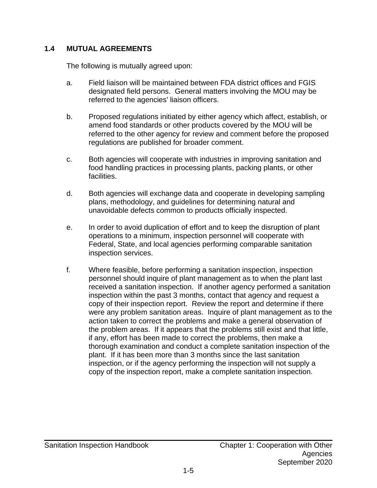#### <span id="page-7-0"></span>**1.4 MUTUAL AGREEMENTS**

The following is mutually agreed upon:

- a. Field liaison will be maintained between FDA district offices and FGIS designated field persons. General matters involving the MOU may be referred to the agencies' liaison officers.
- b. Proposed regulations initiated by either agency which affect, establish, or amend food standards or other products covered by the MOU will be referred to the other agency for review and comment before the proposed regulations are published for broader comment.
- c. Both agencies will cooperate with industries in improving sanitation and food handling practices in processing plants, packing plants, or other facilities.
- d. Both agencies will exchange data and cooperate in developing sampling plans, methodology, and guidelines for determining natural and unavoidable defects common to products officially inspected.
- e. In order to avoid duplication of effort and to keep the disruption of plant operations to a minimum, inspection personnel will cooperate with Federal, State, and local agencies performing comparable sanitation inspection services.
- f. Where feasible, before performing a sanitation inspection, inspection personnel should inquire of plant management as to when the plant last received a sanitation inspection. If another agency performed a sanitation inspection within the past 3 months, contact that agency and request a copy of their inspection report. Review the report and determine if there were any problem sanitation areas. Inquire of plant management as to the action taken to correct the problems and make a general observation of the problem areas. If it appears that the problems still exist and that little, if any, effort has been made to correct the problems, then make a thorough examination and conduct a complete sanitation inspection of the plant. If it has been more than 3 months since the last sanitation inspection, or if the agency performing the inspection will not supply a copy of the inspection report, make a complete sanitation inspection.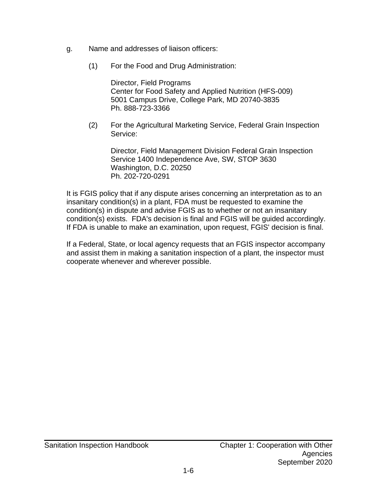- g. Name and addresses of liaison officers:
	- (1) For the Food and Drug Administration:

Director, Field Programs Center for Food Safety and Applied Nutrition (HFS-009) 5001 Campus Drive, College Park, MD 20740-3835 Ph. 888-723-3366

(2) For the Agricultural Marketing Service, Federal Grain Inspection Service:

Director, Field Management Division Federal Grain Inspection Service 1400 Independence Ave, SW, STOP 3630 Washington, D.C. 20250 Ph. 202-720-0291

It is FGIS policy that if any dispute arises concerning an interpretation as to an insanitary condition(s) in a plant, FDA must be requested to examine the condition(s) in dispute and advise FGIS as to whether or not an insanitary condition(s) exists. FDA's decision is final and FGIS will be guided accordingly. If FDA is unable to make an examination, upon request, FGIS' decision is final.

If a Federal, State, or local agency requests that an FGIS inspector accompany and assist them in making a sanitation inspection of a plant, the inspector must cooperate whenever and wherever possible.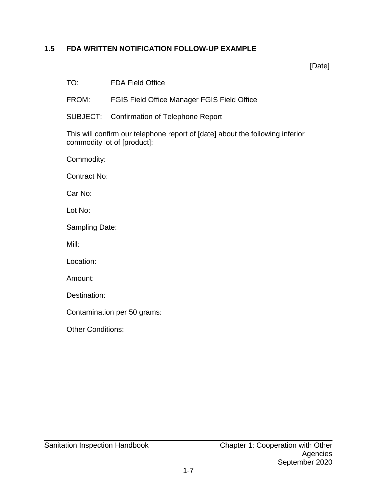#### <span id="page-9-0"></span>**1.5 FDA WRITTEN NOTIFICATION FOLLOW-UP EXAMPLE**

[Date]

TO: FDA Field Office

FROM: FGIS Field Office Manager FGIS Field Office

SUBJECT: Confirmation of Telephone Report

This will confirm our telephone report of [date] about the following inferior commodity lot of [product]:

Commodity:

Contract No:

Car No:

Lot No:

Sampling Date:

Mill:

Location:

Amount:

Destination:

Contamination per 50 grams:

Other Conditions: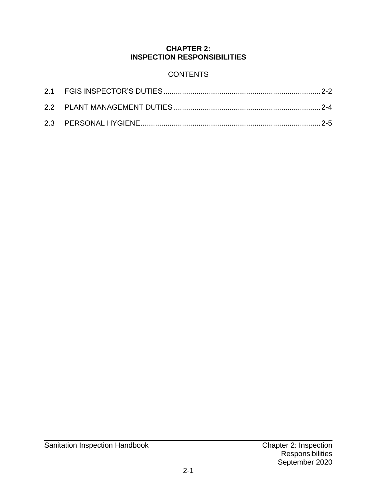#### **CHAPTER 2: INSPECTION RESPONSIBILITIES**

#### **CONTENTS**

<span id="page-10-0"></span>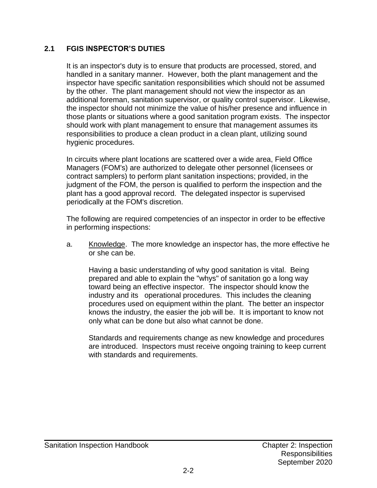#### <span id="page-11-0"></span>**2.1 FGIS INSPECTOR'S DUTIES**

It is an inspector's duty is to ensure that products are processed, stored, and handled in a sanitary manner. However, both the plant management and the inspector have specific sanitation responsibilities which should not be assumed by the other. The plant management should not view the inspector as an additional foreman, sanitation supervisor, or quality control supervisor. Likewise, the inspector should not minimize the value of his/her presence and influence in those plants or situations where a good sanitation program exists. The inspector should work with plant management to ensure that management assumes its responsibilities to produce a clean product in a clean plant, utilizing sound hygienic procedures.

In circuits where plant locations are scattered over a wide area, Field Office Managers (FOM's) are authorized to delegate other personnel (licensees or contract samplers) to perform plant sanitation inspections; provided, in the judgment of the FOM, the person is qualified to perform the inspection and the plant has a good approval record. The delegated inspector is supervised periodically at the FOM's discretion.

The following are required competencies of an inspector in order to be effective in performing inspections:

a. Knowledge. The more knowledge an inspector has, the more effective he or she can be.

Having a basic understanding of why good sanitation is vital. Being prepared and able to explain the "whys" of sanitation go a long way toward being an effective inspector. The inspector should know the industry and its operational procedures. This includes the cleaning procedures used on equipment within the plant. The better an inspector knows the industry, the easier the job will be. It is important to know not only what can be done but also what cannot be done.

Standards and requirements change as new knowledge and procedures are introduced. Inspectors must receive ongoing training to keep current with standards and requirements.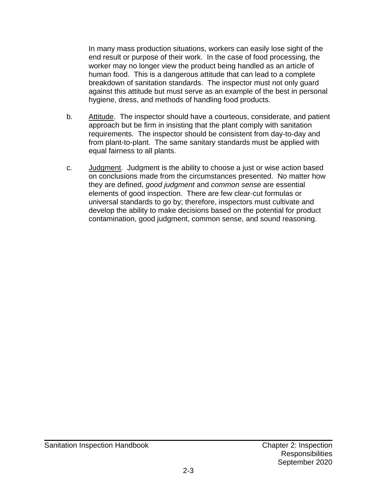In many mass production situations, workers can easily lose sight of the end result or purpose of their work. In the case of food processing, the worker may no longer view the product being handled as an article of human food. This is a dangerous attitude that can lead to a complete breakdown of sanitation standards. The inspector must not only guard against this attitude but must serve as an example of the best in personal hygiene, dress, and methods of handling food products.

- b. Attitude. The inspector should have a courteous, considerate, and patient approach but be firm in insisting that the plant comply with sanitation requirements. The inspector should be consistent from day-to-day and from plant-to-plant. The same sanitary standards must be applied with equal fairness to all plants.
- c. Judgment. Judgment is the ability to choose a just or wise action based on conclusions made from the circumstances presented. No matter how they are defined, *good judgment* and *common sense* are essential elements of good inspection. There are few clear-cut formulas or universal standards to go by; therefore, inspectors must cultivate and develop the ability to make decisions based on the potential for product contamination, good judgment, common sense, and sound reasoning.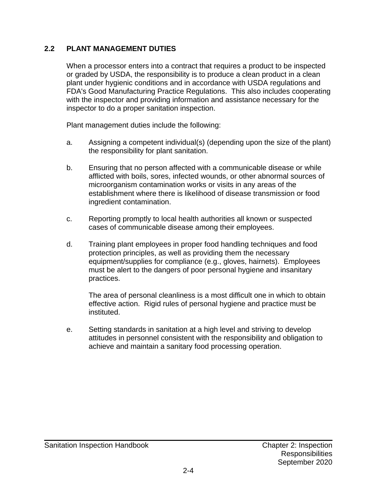#### <span id="page-13-0"></span>**2.2 PLANT MANAGEMENT DUTIES**

When a processor enters into a contract that requires a product to be inspected or graded by USDA, the responsibility is to produce a clean product in a clean plant under hygienic conditions and in accordance with USDA regulations and FDA's Good Manufacturing Practice Regulations. This also includes cooperating with the inspector and providing information and assistance necessary for the inspector to do a proper sanitation inspection.

Plant management duties include the following:

- a. Assigning a competent individual(s) (depending upon the size of the plant) the responsibility for plant sanitation.
- b. Ensuring that no person affected with a communicable disease or while afflicted with boils, sores, infected wounds, or other abnormal sources of microorganism contamination works or visits in any areas of the establishment where there is likelihood of disease transmission or food ingredient contamination.
- c. Reporting promptly to local health authorities all known or suspected cases of communicable disease among their employees.
- d. Training plant employees in proper food handling techniques and food protection principles, as well as providing them the necessary equipment/supplies for compliance (e.g., gloves, hairnets). Employees must be alert to the dangers of poor personal hygiene and insanitary practices.

The area of personal cleanliness is a most difficult one in which to obtain effective action. Rigid rules of personal hygiene and practice must be instituted.

e. Setting standards in sanitation at a high level and striving to develop attitudes in personnel consistent with the responsibility and obligation to achieve and maintain a sanitary food processing operation.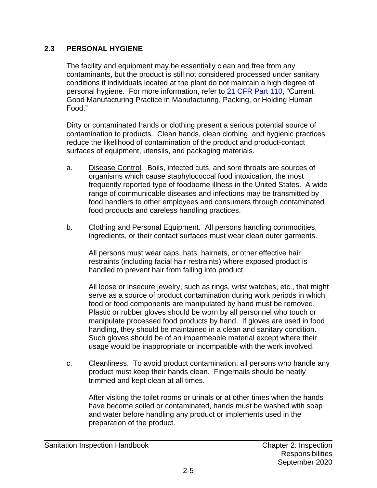#### <span id="page-14-0"></span>**2.3 PERSONAL HYGIENE**

The facility and equipment may be essentially clean and free from any contaminants, but the product is still not considered processed under sanitary conditions if individuals located at the plant do not maintain a high degree of personal hygiene. For more information, refer to [21 CFR Part 110,](https://www.ecfr.gov/cgi-bin/text-idx?SID=8c603c9ca0451e5f344a2a4107d69426&mc=true&node=pt21.2.110&rgn=div5#se21.2.110_120) "Current Good Manufacturing Practice in Manufacturing, Packing, or Holding Human Food."

Dirty or contaminated hands or clothing present a serious potential source of contamination to products. Clean hands, clean clothing, and hygienic practices reduce the likelihood of contamination of the product and product-contact surfaces of equipment, utensils, and packaging materials.

- a. Disease Control. Boils, infected cuts, and sore throats are sources of organisms which cause staphylococcal food intoxication, the most frequently reported type of foodborne illness in the United States. A wide range of communicable diseases and infections may be transmitted by food handlers to other employees and consumers through contaminated food products and careless handling practices.
- b. Clothing and Personal Equipment. All persons handling commodities, ingredients, or their contact surfaces must wear clean outer garments.

All persons must wear caps, hats, hairnets, or other effective hair restraints (including facial hair restraints) where exposed product is handled to prevent hair from falling into product.

All loose or insecure jewelry, such as rings, wrist watches, etc., that might serve as a source of product contamination during work periods in which food or food components are manipulated by hand must be removed. Plastic or rubber gloves should be worn by all personnel who touch or manipulate processed food products by hand. If gloves are used in food handling, they should be maintained in a clean and sanitary condition. Such gloves should be of an impermeable material except where their usage would be inappropriate or incompatible with the work involved.

c. Cleanliness. To avoid product contamination, all persons who handle any product must keep their hands clean. Fingernails should be neatly trimmed and kept clean at all times.

After visiting the toilet rooms or urinals or at other times when the hands have become soiled or contaminated, hands must be washed with soap and water before handling any product or implements used in the preparation of the product.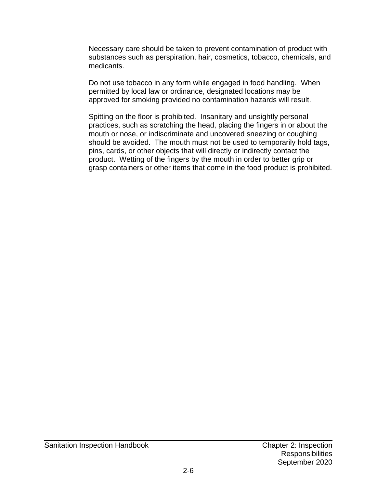Necessary care should be taken to prevent contamination of product with substances such as perspiration, hair, cosmetics, tobacco, chemicals, and medicants.

Do not use tobacco in any form while engaged in food handling. When permitted by local law or ordinance, designated locations may be approved for smoking provided no contamination hazards will result.

Spitting on the floor is prohibited. Insanitary and unsightly personal practices, such as scratching the head, placing the fingers in or about the mouth or nose, or indiscriminate and uncovered sneezing or coughing should be avoided. The mouth must not be used to temporarily hold tags, pins, cards, or other objects that will directly or indirectly contact the product. Wetting of the fingers by the mouth in order to better grip or grasp containers or other items that come in the food product is prohibited.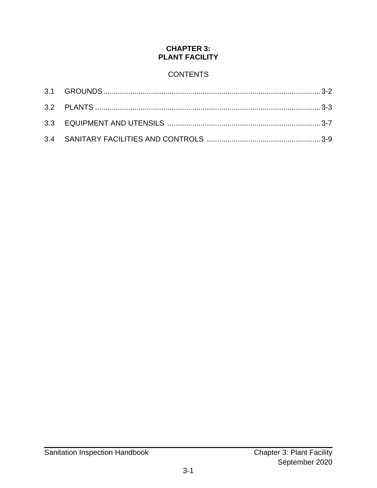#### **CHAPTER 3: PLANT FACILITY**

### **CONTENTS**

<span id="page-16-0"></span>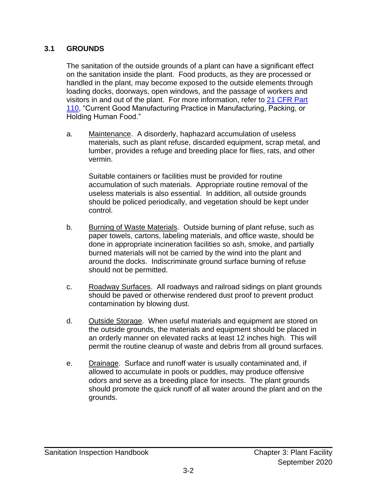#### <span id="page-17-0"></span>**3.1 GROUNDS**

The sanitation of the outside grounds of a plant can have a significant effect on the sanitation inside the plant. Food products, as they are processed or handled in the plant, may become exposed to the outside elements through loading docks, doorways, open windows, and the passage of workers and visitors in and out of the plant. For more information, refer to [21 CFR Part](https://www.ecfr.gov/cgi-bin/text-idx?SID=8c603c9ca0451e5f344a2a4107d69426&mc=true&node=pt21.2.110&rgn=div5#se21.2.110_120)  [110,](https://www.ecfr.gov/cgi-bin/text-idx?SID=8c603c9ca0451e5f344a2a4107d69426&mc=true&node=pt21.2.110&rgn=div5#se21.2.110_120) "Current Good Manufacturing Practice in Manufacturing, Packing, or Holding Human Food."

a. Maintenance. A disorderly, haphazard accumulation of useless materials, such as plant refuse, discarded equipment, scrap metal, and lumber, provides a refuge and breeding place for flies, rats, and other vermin.

Suitable containers or facilities must be provided for routine accumulation of such materials. Appropriate routine removal of the useless materials is also essential. In addition, all outside grounds should be policed periodically, and vegetation should be kept under control.

- b. Burning of Waste Materials. Outside burning of plant refuse, such as paper towels, cartons, labeling materials, and office waste, should be done in appropriate incineration facilities so ash, smoke, and partially burned materials will not be carried by the wind into the plant and around the docks. Indiscriminate ground surface burning of refuse should not be permitted.
- c. Roadway Surfaces. All roadways and railroad sidings on plant grounds should be paved or otherwise rendered dust proof to prevent product contamination by blowing dust.
- d. Outside Storage. When useful materials and equipment are stored on the outside grounds, the materials and equipment should be placed in an orderly manner on elevated racks at least 12 inches high. This will permit the routine cleanup of waste and debris from all ground surfaces.
- e. Drainage. Surface and runoff water is usually contaminated and, if allowed to accumulate in pools or puddles, may produce offensive odors and serve as a breeding place for insects. The plant grounds should promote the quick runoff of all water around the plant and on the grounds.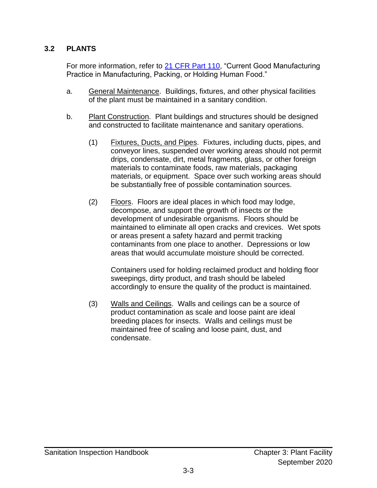#### <span id="page-18-0"></span>**3.2 PLANTS**

For more information, refer to [21 CFR Part 110,](https://www.ecfr.gov/cgi-bin/text-idx?SID=8c603c9ca0451e5f344a2a4107d69426&mc=true&node=pt21.2.110&rgn=div5#se21.2.110_120) "Current Good Manufacturing Practice in Manufacturing, Packing, or Holding Human Food."

- a. General Maintenance. Buildings, fixtures, and other physical facilities of the plant must be maintained in a sanitary condition.
- b. Plant Construction. Plant buildings and structures should be designed and constructed to facilitate maintenance and sanitary operations.
	- (1) Fixtures, Ducts, and Pipes. Fixtures, including ducts, pipes, and conveyor lines, suspended over working areas should not permit drips, condensate, dirt, metal fragments, glass, or other foreign materials to contaminate foods, raw materials, packaging materials, or equipment. Space over such working areas should be substantially free of possible contamination sources.
	- (2) Floors. Floors are ideal places in which food may lodge, decompose, and support the growth of insects or the development of undesirable organisms. Floors should be maintained to eliminate all open cracks and crevices. Wet spots or areas present a safety hazard and permit tracking contaminants from one place to another. Depressions or low areas that would accumulate moisture should be corrected.

Containers used for holding reclaimed product and holding floor sweepings, dirty product, and trash should be labeled accordingly to ensure the quality of the product is maintained.

(3) Walls and Ceilings. Walls and ceilings can be a source of product contamination as scale and loose paint are ideal breeding places for insects. Walls and ceilings must be maintained free of scaling and loose paint, dust, and condensate.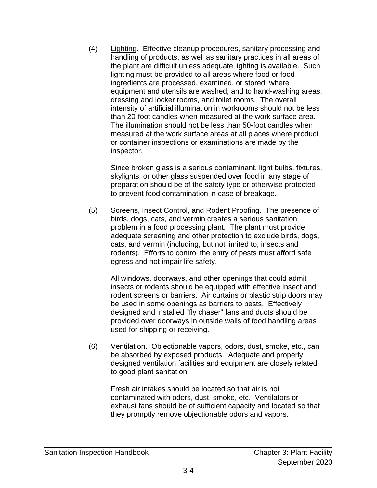(4) Lighting. Effective cleanup procedures, sanitary processing and handling of products, as well as sanitary practices in all areas of the plant are difficult unless adequate lighting is available. Such lighting must be provided to all areas where food or food ingredients are processed, examined, or stored; where equipment and utensils are washed; and to hand-washing areas, dressing and locker rooms, and toilet rooms. The overall intensity of artificial illumination in workrooms should not be less than 20-foot candles when measured at the work surface area. The illumination should not be less than 50-foot candles when measured at the work surface areas at all places where product or container inspections or examinations are made by the inspector.

Since broken glass is a serious contaminant, light bulbs, fixtures, skylights, or other glass suspended over food in any stage of preparation should be of the safety type or otherwise protected to prevent food contamination in case of breakage.

(5) Screens, Insect Control, and Rodent Proofing. The presence of birds, dogs, cats, and vermin creates a serious sanitation problem in a food processing plant. The plant must provide adequate screening and other protection to exclude birds, dogs, cats, and vermin (including, but not limited to, insects and rodents). Efforts to control the entry of pests must afford safe egress and not impair life safety.

All windows, doorways, and other openings that could admit insects or rodents should be equipped with effective insect and rodent screens or barriers. Air curtains or plastic strip doors may be used in some openings as barriers to pests. Effectively designed and installed "fly chaser" fans and ducts should be provided over doorways in outside walls of food handling areas used for shipping or receiving.

(6) Ventilation. Objectionable vapors, odors, dust, smoke, etc., can be absorbed by exposed products. Adequate and properly designed ventilation facilities and equipment are closely related to good plant sanitation.

Fresh air intakes should be located so that air is not contaminated with odors, dust, smoke, etc. Ventilators or exhaust fans should be of sufficient capacity and located so that they promptly remove objectionable odors and vapors.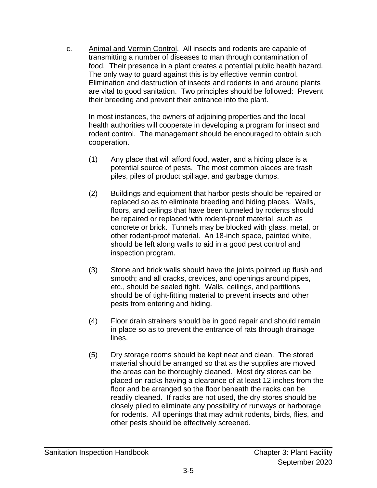c. Animal and Vermin Control. All insects and rodents are capable of transmitting a number of diseases to man through contamination of food. Their presence in a plant creates a potential public health hazard. The only way to guard against this is by effective vermin control. Elimination and destruction of insects and rodents in and around plants are vital to good sanitation. Two principles should be followed: Prevent their breeding and prevent their entrance into the plant.

In most instances, the owners of adjoining properties and the local health authorities will cooperate in developing a program for insect and rodent control. The management should be encouraged to obtain such cooperation.

- (1) Any place that will afford food, water, and a hiding place is a potential source of pests. The most common places are trash piles, piles of product spillage, and garbage dumps.
- (2) Buildings and equipment that harbor pests should be repaired or replaced so as to eliminate breeding and hiding places. Walls, floors, and ceilings that have been tunneled by rodents should be repaired or replaced with rodent-proof material, such as concrete or brick. Tunnels may be blocked with glass, metal, or other rodent-proof material. An 18-inch space, painted white, should be left along walls to aid in a good pest control and inspection program.
- (3) Stone and brick walls should have the joints pointed up flush and smooth; and all cracks, crevices, and openings around pipes, etc., should be sealed tight. Walls, ceilings, and partitions should be of tight-fitting material to prevent insects and other pests from entering and hiding.
- (4) Floor drain strainers should be in good repair and should remain in place so as to prevent the entrance of rats through drainage lines.
- (5) Dry storage rooms should be kept neat and clean. The stored material should be arranged so that as the supplies are moved the areas can be thoroughly cleaned. Most dry stores can be placed on racks having a clearance of at least 12 inches from the floor and be arranged so the floor beneath the racks can be readily cleaned. If racks are not used, the dry stores should be closely piled to eliminate any possibility of runways or harborage for rodents. All openings that may admit rodents, birds, flies, and other pests should be effectively screened.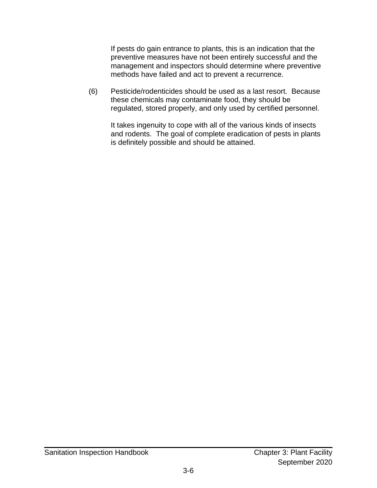If pests do gain entrance to plants, this is an indication that the preventive measures have not been entirely successful and the management and inspectors should determine where preventive methods have failed and act to prevent a recurrence.

(6) Pesticide/rodenticides should be used as a last resort. Because these chemicals may contaminate food, they should be regulated, stored properly, and only used by certified personnel.

It takes ingenuity to cope with all of the various kinds of insects and rodents. The goal of complete eradication of pests in plants is definitely possible and should be attained.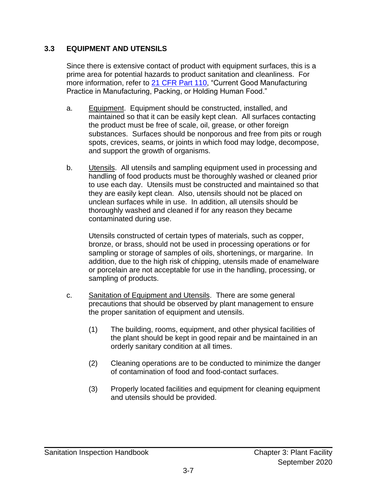#### <span id="page-22-0"></span>**3.3 EQUIPMENT AND UTENSILS**

Since there is extensive contact of product with equipment surfaces, this is a prime area for potential hazards to product sanitation and cleanliness. For more information, refer to [21 CFR Part 110,](https://www.ecfr.gov/cgi-bin/text-idx?SID=8c603c9ca0451e5f344a2a4107d69426&mc=true&node=pt21.2.110&rgn=div5#se21.2.110_120) "Current Good Manufacturing Practice in Manufacturing, Packing, or Holding Human Food."

- a. Equipment. Equipment should be constructed, installed, and maintained so that it can be easily kept clean. All surfaces contacting the product must be free of scale, oil, grease, or other foreign substances. Surfaces should be nonporous and free from pits or rough spots, crevices, seams, or joints in which food may lodge, decompose, and support the growth of organisms.
- b. Utensils. All utensils and sampling equipment used in processing and handling of food products must be thoroughly washed or cleaned prior to use each day. Utensils must be constructed and maintained so that they are easily kept clean. Also, utensils should not be placed on unclean surfaces while in use. In addition, all utensils should be thoroughly washed and cleaned if for any reason they became contaminated during use.

Utensils constructed of certain types of materials, such as copper, bronze, or brass, should not be used in processing operations or for sampling or storage of samples of oils, shortenings, or margarine. In addition, due to the high risk of chipping, utensils made of enamelware or porcelain are not acceptable for use in the handling, processing, or sampling of products.

- c. Sanitation of Equipment and Utensils. There are some general precautions that should be observed by plant management to ensure the proper sanitation of equipment and utensils.
	- (1) The building, rooms, equipment, and other physical facilities of the plant should be kept in good repair and be maintained in an orderly sanitary condition at all times.
	- (2) Cleaning operations are to be conducted to minimize the danger of contamination of food and food-contact surfaces.
	- (3) Properly located facilities and equipment for cleaning equipment and utensils should be provided.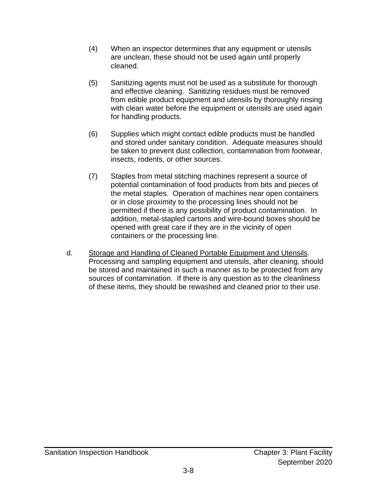- (4) When an inspector determines that any equipment or utensils are unclean, these should not be used again until properly cleaned.
- (5) Sanitizing agents must not be used as a substitute for thorough and effective cleaning. Sanitizing residues must be removed from edible product equipment and utensils by thoroughly rinsing with clean water before the equipment or utensils are used again for handling products.
- (6) Supplies which might contact edible products must be handled and stored under sanitary condition. Adequate measures should be taken to prevent dust collection, contamination from footwear, insects, rodents, or other sources.
- (7) Staples from metal stitching machines represent a source of potential contamination of food products from bits and pieces of the metal staples. Operation of machines near open containers or in close proximity to the processing lines should not be permitted if there is any possibility of product contamination. In addition, metal-stapled cartons and wire-bound boxes should be opened with great care if they are in the vicinity of open containers or the processing line.
- d. Storage and Handling of Cleaned Portable Equipment and Utensils. Processing and sampling equipment and utensils, after cleaning, should be stored and maintained in such a manner as to be protected from any sources of contamination. If there is any question as to the cleanliness of these items, they should be rewashed and cleaned prior to their use.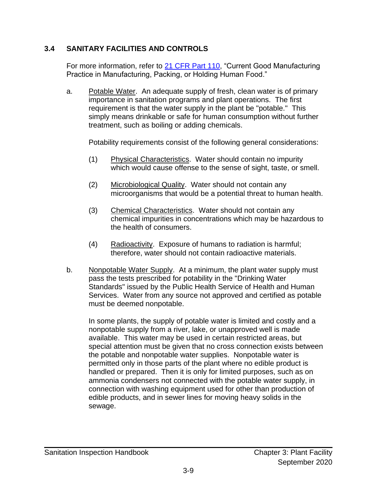#### <span id="page-24-0"></span>**3.4 SANITARY FACILITIES AND CONTROLS**

For more information, refer to [21 CFR Part 110,](https://www.ecfr.gov/cgi-bin/text-idx?SID=8c603c9ca0451e5f344a2a4107d69426&mc=true&node=pt21.2.110&rgn=div5#se21.2.110_120) "Current Good Manufacturing Practice in Manufacturing, Packing, or Holding Human Food."

a. Potable Water. An adequate supply of fresh, clean water is of primary importance in sanitation programs and plant operations. The first requirement is that the water supply in the plant be "potable." This simply means drinkable or safe for human consumption without further treatment, such as boiling or adding chemicals.

Potability requirements consist of the following general considerations:

- (1) Physical Characteristics. Water should contain no impurity which would cause offense to the sense of sight, taste, or smell.
- (2) Microbiological Quality. Water should not contain any microorganisms that would be a potential threat to human health.
- (3) Chemical Characteristics. Water should not contain any chemical impurities in concentrations which may be hazardous to the health of consumers.
- (4) Radioactivity. Exposure of humans to radiation is harmful; therefore, water should not contain radioactive materials.
- b. Nonpotable Water Supply. At a minimum, the plant water supply must pass the tests prescribed for potability in the "Drinking Water Standards" issued by the Public Health Service of Health and Human Services. Water from any source not approved and certified as potable must be deemed nonpotable.

In some plants, the supply of potable water is limited and costly and a nonpotable supply from a river, lake, or unapproved well is made available. This water may be used in certain restricted areas, but special attention must be given that no cross connection exists between the potable and nonpotable water supplies. Nonpotable water is permitted only in those parts of the plant where no edible product is handled or prepared. Then it is only for limited purposes, such as on ammonia condensers not connected with the potable water supply, in connection with washing equipment used for other than production of edible products, and in sewer lines for moving heavy solids in the sewage.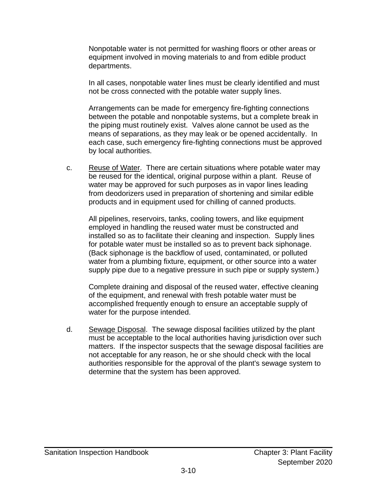Nonpotable water is not permitted for washing floors or other areas or equipment involved in moving materials to and from edible product departments.

In all cases, nonpotable water lines must be clearly identified and must not be cross connected with the potable water supply lines.

Arrangements can be made for emergency fire-fighting connections between the potable and nonpotable systems, but a complete break in the piping must routinely exist. Valves alone cannot be used as the means of separations, as they may leak or be opened accidentally. In each case, such emergency fire-fighting connections must be approved by local authorities.

c. Reuse of Water. There are certain situations where potable water may be reused for the identical, original purpose within a plant. Reuse of water may be approved for such purposes as in vapor lines leading from deodorizers used in preparation of shortening and similar edible products and in equipment used for chilling of canned products.

All pipelines, reservoirs, tanks, cooling towers, and like equipment employed in handling the reused water must be constructed and installed so as to facilitate their cleaning and inspection. Supply lines for potable water must be installed so as to prevent back siphonage. (Back siphonage is the backflow of used, contaminated, or polluted water from a plumbing fixture, equipment, or other source into a water supply pipe due to a negative pressure in such pipe or supply system.)

Complete draining and disposal of the reused water, effective cleaning of the equipment, and renewal with fresh potable water must be accomplished frequently enough to ensure an acceptable supply of water for the purpose intended.

d. Sewage Disposal. The sewage disposal facilities utilized by the plant must be acceptable to the local authorities having jurisdiction over such matters. If the inspector suspects that the sewage disposal facilities are not acceptable for any reason, he or she should check with the local authorities responsible for the approval of the plant's sewage system to determine that the system has been approved.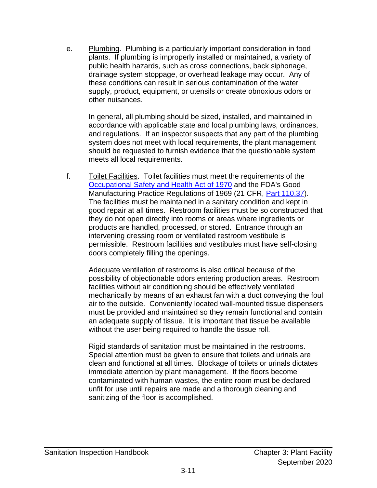e. Plumbing. Plumbing is a particularly important consideration in food plants. If plumbing is improperly installed or maintained, a variety of public health hazards, such as cross connections, back siphonage, drainage system stoppage, or overhead leakage may occur. Any of these conditions can result in serious contamination of the water supply, product, equipment, or utensils or create obnoxious odors or other nuisances.

In general, all plumbing should be sized, installed, and maintained in accordance with applicable state and local plumbing laws, ordinances, and regulations. If an inspector suspects that any part of the plumbing system does not meet with local requirements, the plant management should be requested to furnish evidence that the questionable system meets all local requirements.

f. Toilet Facilities. Toilet facilities must meet the requirements of the [Occupational Safety and Health Act of 1970](https://www.osha.gov/laws-regs/oshact/completeoshact) and the FDA's Good Manufacturing Practice Regulations of 1969 (21 CFR, [Part 110.37\)](https://www.ecfr.gov/cgi-bin/text-idx?SID=9cf71bcd76ee61164dca21efdbf5e4dd&mc=true&node=pt21.2.110&rgn=div5#se21.2.110_137). The facilities must be maintained in a sanitary condition and kept in good repair at all times. Restroom facilities must be so constructed that they do not open directly into rooms or areas where ingredients or products are handled, processed, or stored. Entrance through an intervening dressing room or ventilated restroom vestibule is permissible. Restroom facilities and vestibules must have self-closing doors completely filling the openings.

Adequate ventilation of restrooms is also critical because of the possibility of objectionable odors entering production areas. Restroom facilities without air conditioning should be effectively ventilated mechanically by means of an exhaust fan with a duct conveying the foul air to the outside. Conveniently located wall-mounted tissue dispensers must be provided and maintained so they remain functional and contain an adequate supply of tissue. It is important that tissue be available without the user being required to handle the tissue roll.

Rigid standards of sanitation must be maintained in the restrooms. Special attention must be given to ensure that toilets and urinals are clean and functional at all times. Blockage of toilets or urinals dictates immediate attention by plant management. If the floors become contaminated with human wastes, the entire room must be declared unfit for use until repairs are made and a thorough cleaning and sanitizing of the floor is accomplished.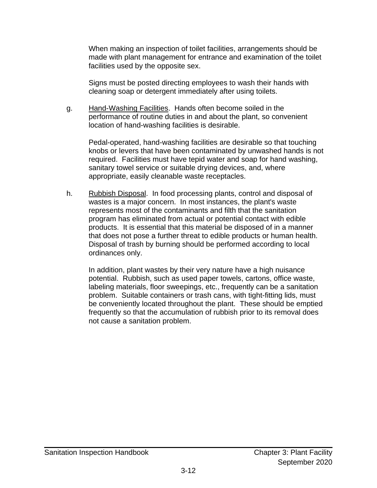When making an inspection of toilet facilities, arrangements should be made with plant management for entrance and examination of the toilet facilities used by the opposite sex.

Signs must be posted directing employees to wash their hands with cleaning soap or detergent immediately after using toilets.

g. Hand-Washing Facilities. Hands often become soiled in the performance of routine duties in and about the plant, so convenient location of hand-washing facilities is desirable.

Pedal-operated, hand-washing facilities are desirable so that touching knobs or levers that have been contaminated by unwashed hands is not required. Facilities must have tepid water and soap for hand washing, sanitary towel service or suitable drying devices, and, where appropriate, easily cleanable waste receptacles.

h. Rubbish Disposal. In food processing plants, control and disposal of wastes is a major concern. In most instances, the plant's waste represents most of the contaminants and filth that the sanitation program has eliminated from actual or potential contact with edible products. It is essential that this material be disposed of in a manner that does not pose a further threat to edible products or human health. Disposal of trash by burning should be performed according to local ordinances only.

In addition, plant wastes by their very nature have a high nuisance potential. Rubbish, such as used paper towels, cartons, office waste, labeling materials, floor sweepings, etc., frequently can be a sanitation problem. Suitable containers or trash cans, with tight-fitting lids, must be conveniently located throughout the plant. These should be emptied frequently so that the accumulation of rubbish prior to its removal does not cause a sanitation problem.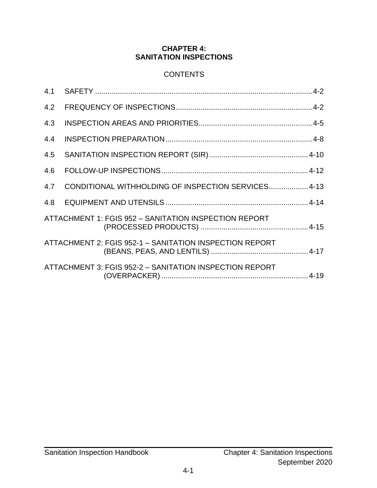#### **CHAPTER 4: SANITATION INSPECTIONS**

#### **CONTENTS**

<span id="page-28-0"></span>

| 4.1 |                                                         |  |
|-----|---------------------------------------------------------|--|
| 4.2 |                                                         |  |
| 4.3 |                                                         |  |
| 4.4 |                                                         |  |
| 4.5 |                                                         |  |
| 4.6 |                                                         |  |
| 4.7 | CONDITIONAL WITHHOLDING OF INSPECTION SERVICES 4-13     |  |
| 4.8 |                                                         |  |
|     | ATTACHMENT 1: FGIS 952 - SANITATION INSPECTION REPORT   |  |
|     | ATTACHMENT 2: FGIS 952-1 - SANITATION INSPECTION REPORT |  |
|     | ATTACHMENT 3: FGIS 952-2 - SANITATION INSPECTION REPORT |  |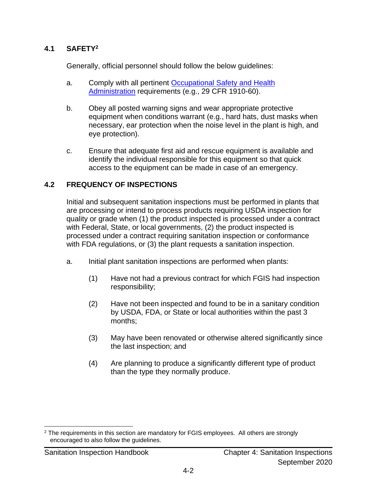#### <span id="page-29-0"></span>**4.1 SAFETY<sup>2</sup>**

Generally, official personnel should follow the below guidelines:

- a. Comply with all pertinent [Occupational Safety and Health](https://www.ecfr.gov/cgi-bin/text-idx?gp=&SID=4836b0aceb839ee36a53086339ae39a6&mc=true&tpl=/ecfrbrowse/Title29/29chapterXVII.tpl)  [Administration](https://www.ecfr.gov/cgi-bin/text-idx?gp=&SID=4836b0aceb839ee36a53086339ae39a6&mc=true&tpl=/ecfrbrowse/Title29/29chapterXVII.tpl) requirements (e.g., 29 CFR 1910-60).
- b. Obey all posted warning signs and wear appropriate protective equipment when conditions warrant (e.g., hard hats, dust masks when necessary, ear protection when the noise level in the plant is high, and eye protection).
- <span id="page-29-1"></span>c. Ensure that adequate first aid and rescue equipment is available and identify the individual responsible for this equipment so that quick access to the equipment can be made in case of an emergency.

#### <span id="page-29-2"></span>**4.2 FREQUENCY OF INSPECTIONS**

Initial and subsequent sanitation inspections must be performed in plants that are processing or intend to process products requiring USDA inspection for quality or grade when (1) the product inspected is processed under a contract with Federal, State, or local governments, (2) the product inspected is processed under a contract requiring sanitation inspection or conformance with FDA regulations, or (3) the plant requests a sanitation inspection.

- a. Initial plant sanitation inspections are performed when plants:
	- (1) Have not had a previous contract for which FGIS had inspection responsibility;
	- (2) Have not been inspected and found to be in a sanitary condition by USDA, FDA, or State or local authorities within the past 3 months;
	- (3) May have been renovated or otherwise altered significantly since the last inspection; and
	- (4) Are planning to produce a significantly different type of product than the type they normally produce.

<sup>&</sup>lt;sup>2</sup> The requirements in this section are mandatory for FGIS employees. All others are strongly encouraged to also follow the guidelines.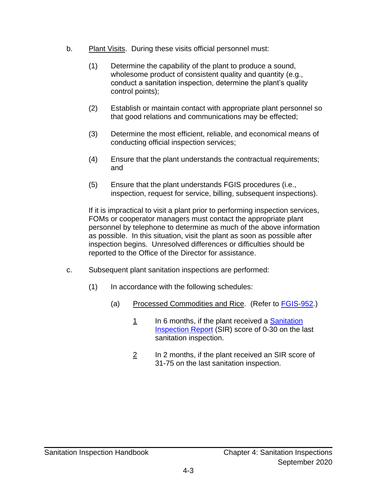- b. Plant Visits. During these visits official personnel must:
	- (1) Determine the capability of the plant to produce a sound, wholesome product of consistent quality and quantity (e.g., conduct a sanitation inspection, determine the plant's quality control points);
	- (2) Establish or maintain contact with appropriate plant personnel so that good relations and communications may be effected;
	- (3) Determine the most efficient, reliable, and economical means of conducting official inspection services;
	- (4) Ensure that the plant understands the contractual requirements; and
	- (5) Ensure that the plant understands FGIS procedures (i.e., inspection, request for service, billing, subsequent inspections).

If it is impractical to visit a plant prior to performing inspection services, FOMs or cooperator managers must contact the appropriate plant personnel by telephone to determine as much of the above information as possible. In this situation, visit the plant as soon as possible after inspection begins. Unresolved differences or difficulties should be reported to the Office of the Director for assistance.

- c. Subsequent plant sanitation inspections are performed:
	- (1) In accordance with the following schedules:
		- (a) Processed Commodities and Rice. (Refer to [FGIS-952.](https://www.ams.usda.gov/resources/fgis-952-sanitation-inspection-report-processed-products))
			- 1 In 6 months, if the plant received a Sanitation [Inspection Report](https://www.ams.usda.gov/resources/fgis-952-sanitation-inspection-report-processed-products) (SIR) score of 0-30 on the last sanitation inspection.
			- 2 In 2 months, if the plant received an SIR score of 31-75 on the last sanitation inspection.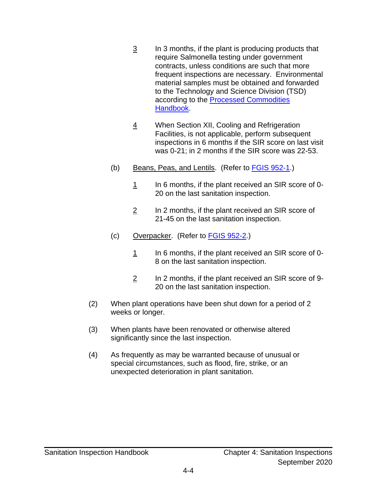- $\frac{3}{2}$  In 3 months, if the plant is producing products that require Salmonella testing under government contracts, unless conditions are such that more frequent inspections are necessary. Environmental material samples must be obtained and forwarded to the Technology and Science Division (TSD) according to the **Processed Commodities** [Handbook.](https://www.ams.usda.gov/publications/content/fgis-pdf-handbooks)
- 4 When Section XII, Cooling and Refrigeration Facilities, is not applicable, perform subsequent inspections in 6 months if the SIR score on last visit was 0-21; in 2 months if the SIR score was 22-53.
- (b) Beans, Peas, and Lentils. (Refer to [FGIS 952-1.](https://www.ams.usda.gov/resources/fgis-952-1-sanitation-inspection-report-beans-peas-and-lentils))
	- $1$  In 6 months, if the plant received an SIR score of 0-20 on the last sanitation inspection.
	- $2$  In 2 months, if the plant received an SIR score of 21-45 on the last sanitation inspection.
- (c) Overpacker. (Refer to FGIS [952-2.](https://www.ams.usda.gov/resources/fgis-952-2-sanitation-inspection-report-overpacker))
	- $1$  In 6 months, if the plant received an SIR score of 0-8 on the last sanitation inspection.
	- 2 In 2 months, if the plant received an SIR score of 9- 20 on the last sanitation inspection.
- (2) When plant operations have been shut down for a period of 2 weeks or longer.
- (3) When plants have been renovated or otherwise altered significantly since the last inspection.
- (4) As frequently as may be warranted because of unusual or special circumstances, such as flood, fire, strike, or an unexpected deterioration in plant sanitation.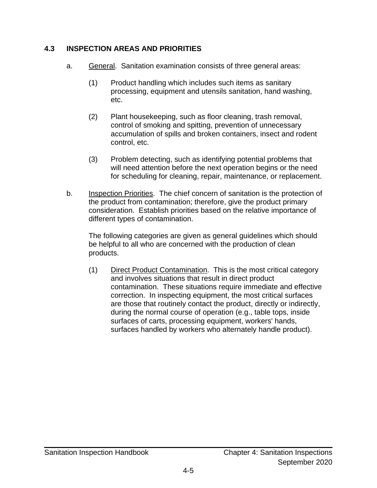#### <span id="page-32-0"></span>**4.3 INSPECTION AREAS AND PRIORITIES**

- a. General. Sanitation examination consists of three general areas:
	- (1) Product handling which includes such items as sanitary processing, equipment and utensils sanitation, hand washing, etc.
	- (2) Plant housekeeping, such as floor cleaning, trash removal, control of smoking and spitting, prevention of unnecessary accumulation of spills and broken containers, insect and rodent control, etc.
	- (3) Problem detecting, such as identifying potential problems that will need attention before the next operation begins or the need for scheduling for cleaning, repair, maintenance, or replacement.
- b. Inspection Priorities. The chief concern of sanitation is the protection of the product from contamination; therefore, give the product primary consideration. Establish priorities based on the relative importance of different types of contamination.

The following categories are given as general guidelines which should be helpful to all who are concerned with the production of clean products.

(1) Direct Product Contamination. This is the most critical category and involves situations that result in direct product contamination. These situations require immediate and effective correction. In inspecting equipment, the most critical surfaces are those that routinely contact the product, directly or indirectly, during the normal course of operation (e.g., table tops, inside surfaces of carts, processing equipment, workers' hands, surfaces handled by workers who alternately handle product).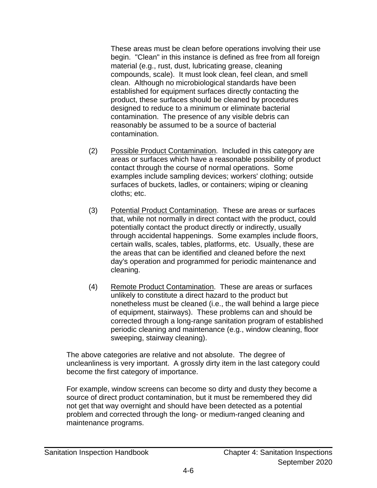These areas must be clean before operations involving their use begin. "Clean" in this instance is defined as free from all foreign material (e.g., rust, dust, lubricating grease, cleaning compounds, scale). It must look clean, feel clean, and smell clean. Although no microbiological standards have been established for equipment surfaces directly contacting the product, these surfaces should be cleaned by procedures designed to reduce to a minimum or eliminate bacterial contamination. The presence of any visible debris can reasonably be assumed to be a source of bacterial contamination.

- (2) Possible Product Contamination. Included in this category are areas or surfaces which have a reasonable possibility of product contact through the course of normal operations. Some examples include sampling devices; workers' clothing; outside surfaces of buckets, ladles, or containers; wiping or cleaning cloths; etc.
- (3) Potential Product Contamination. These are areas or surfaces that, while not normally in direct contact with the product, could potentially contact the product directly or indirectly, usually through accidental happenings. Some examples include floors, certain walls, scales, tables, platforms, etc. Usually, these are the areas that can be identified and cleaned before the next day's operation and programmed for periodic maintenance and cleaning.
- (4) Remote Product Contamination. These are areas or surfaces unlikely to constitute a direct hazard to the product but nonetheless must be cleaned (i.e., the wall behind a large piece of equipment, stairways). These problems can and should be corrected through a long-range sanitation program of established periodic cleaning and maintenance (e.g., window cleaning, floor sweeping, stairway cleaning).

The above categories are relative and not absolute. The degree of uncleanliness is very important. A grossly dirty item in the last category could become the first category of importance.

For example, window screens can become so dirty and dusty they become a source of direct product contamination, but it must be remembered they did not get that way overnight and should have been detected as a potential problem and corrected through the long- or medium-ranged cleaning and maintenance programs.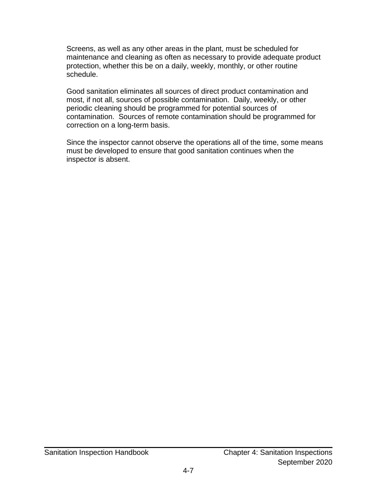Screens, as well as any other areas in the plant, must be scheduled for maintenance and cleaning as often as necessary to provide adequate product protection, whether this be on a daily, weekly, monthly, or other routine schedule.

Good sanitation eliminates all sources of direct product contamination and most, if not all, sources of possible contamination. Daily, weekly, or other periodic cleaning should be programmed for potential sources of contamination. Sources of remote contamination should be programmed for correction on a long-term basis.

Since the inspector cannot observe the operations all of the time, some means must be developed to ensure that good sanitation continues when the inspector is absent.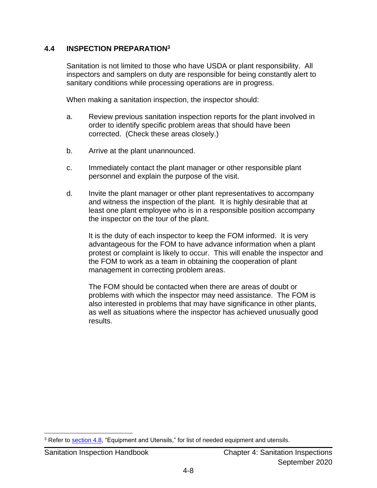#### <span id="page-35-0"></span>**4.4 INSPECTION PREPARATION<sup>3</sup>**

Sanitation is not limited to those who have USDA or plant responsibility. All inspectors and samplers on duty are responsible for being constantly alert to sanitary conditions while processing operations are in progress.

When making a sanitation inspection, the inspector should:

- a. Review previous sanitation inspection reports for the plant involved in order to identify specific problem areas that should have been corrected. (Check these areas closely.)
- b. Arrive at the plant unannounced.
- c. Immediately contact the plant manager or other responsible plant personnel and explain the purpose of the visit.
- d. Invite the plant manager or other plant representatives to accompany and witness the inspection of the plant. It is highly desirable that at least one plant employee who is in a responsible position accompany the inspector on the tour of the plant.

It is the duty of each inspector to keep the FOM informed. It is very advantageous for the FOM to have advance information when a plant protest or complaint is likely to occur. This will enable the inspector and the FOM to work as a team in obtaining the cooperation of plant management in correcting problem areas.

The FOM should be contacted when there are areas of doubt or problems with which the inspector may need assistance. The FOM is also interested in problems that may have significance in other plants, as well as situations where the inspector has achieved unusually good results.

<sup>&</sup>lt;sup>3</sup> Refer to [section 4.8,](#page-41-0) "Equipment and Utensils," for list of needed equipment and utensils.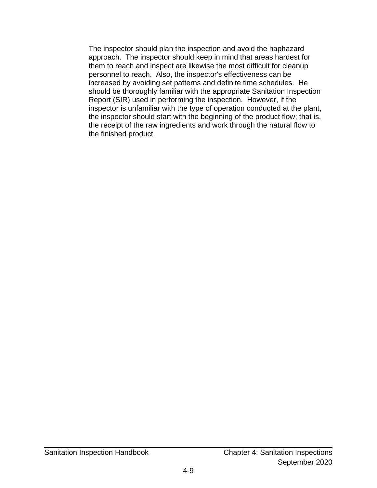The inspector should plan the inspection and avoid the haphazard approach. The inspector should keep in mind that areas hardest for them to reach and inspect are likewise the most difficult for cleanup personnel to reach. Also, the inspector's effectiveness can be increased by avoiding set patterns and definite time schedules. He should be thoroughly familiar with the appropriate Sanitation Inspection Report (SIR) used in performing the inspection. However, if the inspector is unfamiliar with the type of operation conducted at the plant, the inspector should start with the beginning of the product flow; that is, the receipt of the raw ingredients and work through the natural flow to the finished product.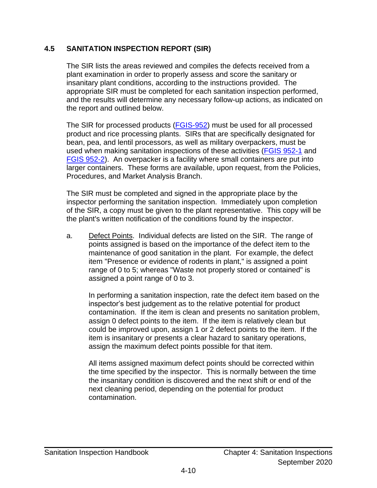#### <span id="page-37-0"></span>**4.5 SANITATION INSPECTION REPORT (SIR)**

The SIR lists the areas reviewed and compiles the defects received from a plant examination in order to properly assess and score the sanitary or insanitary plant conditions, according to the instructions provided. The appropriate SIR must be completed for each sanitation inspection performed, and the results will determine any necessary follow-up actions, as indicated on the report and outlined below.

The SIR for processed products [\(FGIS-952\)](https://www.ams.usda.gov/resources/fgis-952-sanitation-inspection-report-processed-products) must be used for all processed product and rice processing plants. SIRs that are specifically designated for bean, pea, and lentil processors, as well as military overpackers, must be used when making sanitation inspections of these activities [\(FGIS 952-1](https://www.ams.usda.gov/resources/fgis-952-1-sanitation-inspection-report-beans-peas-and-lentils) and [FGIS 952-2\)](https://www.ams.usda.gov/resources/fgis-952-2-sanitation-inspection-report-overpacker). An overpacker is a facility where small containers are put into larger containers. These forms are available, upon request, from the Policies, Procedures, and Market Analysis Branch.

The SIR must be completed and signed in the appropriate place by the inspector performing the sanitation inspection. Immediately upon completion of the SIR, a copy must be given to the plant representative. This copy will be the plant's written notification of the conditions found by the inspector.

a. Defect Points. Individual defects are listed on the SIR. The range of points assigned is based on the importance of the defect item to the maintenance of good sanitation in the plant. For example, the defect item "Presence or evidence of rodents in plant," is assigned a point range of 0 to 5; whereas "Waste not properly stored or contained" is assigned a point range of 0 to 3.

In performing a sanitation inspection, rate the defect item based on the inspector's best judgement as to the relative potential for product contamination. If the item is clean and presents no sanitation problem, assign 0 defect points to the item. If the item is relatively clean but could be improved upon, assign 1 or 2 defect points to the item. If the item is insanitary or presents a clear hazard to sanitary operations, assign the maximum defect points possible for that item.

All items assigned maximum defect points should be corrected within the time specified by the inspector. This is normally between the time the insanitary condition is discovered and the next shift or end of the next cleaning period, depending on the potential for product contamination.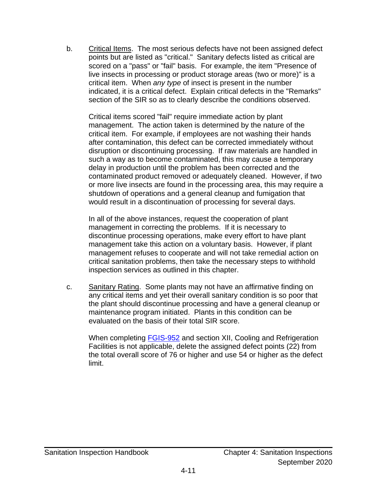b. Critical Items. The most serious defects have not been assigned defect points but are listed as "critical." Sanitary defects listed as critical are scored on a "pass" or "fail" basis. For example, the item "Presence of live insects in processing or product storage areas (two or more)" is a critical item. When *any type* of insect is present in the number indicated, it is a critical defect. Explain critical defects in the "Remarks" section of the SIR so as to clearly describe the conditions observed.

Critical items scored "fail" require immediate action by plant management. The action taken is determined by the nature of the critical item. For example, if employees are not washing their hands after contamination, this defect can be corrected immediately without disruption or discontinuing processing. If raw materials are handled in such a way as to become contaminated, this may cause a temporary delay in production until the problem has been corrected and the contaminated product removed or adequately cleaned. However, if two or more live insects are found in the processing area, this may require a shutdown of operations and a general cleanup and fumigation that would result in a discontinuation of processing for several days.

In all of the above instances, request the cooperation of plant management in correcting the problems. If it is necessary to discontinue processing operations, make every effort to have plant management take this action on a voluntary basis. However, if plant management refuses to cooperate and will not take remedial action on critical sanitation problems, then take the necessary steps to withhold inspection services as outlined in this chapter.

c. Sanitary Rating. Some plants may not have an affirmative finding on any critical items and yet their overall sanitary condition is so poor that the plant should discontinue processing and have a general cleanup or maintenance program initiated. Plants in this condition can be evaluated on the basis of their total SIR score.

When completing [FGIS-952](https://www.ams.usda.gov/resources/fgis-952-sanitation-inspection-report-processed-products) and section XII, Cooling and Refrigeration Facilities is not applicable, delete the assigned defect points (22) from the total overall score of 76 or higher and use 54 or higher as the defect limit.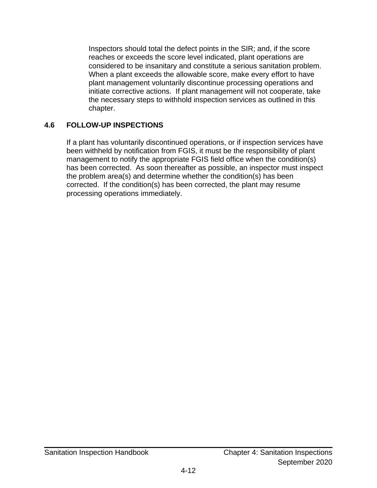Inspectors should total the defect points in the SIR; and, if the score reaches or exceeds the score level indicated, plant operations are considered to be insanitary and constitute a serious sanitation problem. When a plant exceeds the allowable score, make every effort to have plant management voluntarily discontinue processing operations and initiate corrective actions. If plant management will not cooperate, take the necessary steps to withhold inspection services as outlined in this chapter.

#### <span id="page-39-0"></span>**4.6 FOLLOW-UP INSPECTIONS**

If a plant has voluntarily discontinued operations, or if inspection services have been withheld by notification from FGIS, it must be the responsibility of plant management to notify the appropriate FGIS field office when the condition(s) has been corrected. As soon thereafter as possible, an inspector must inspect the problem area(s) and determine whether the condition(s) has been corrected. If the condition(s) has been corrected, the plant may resume processing operations immediately.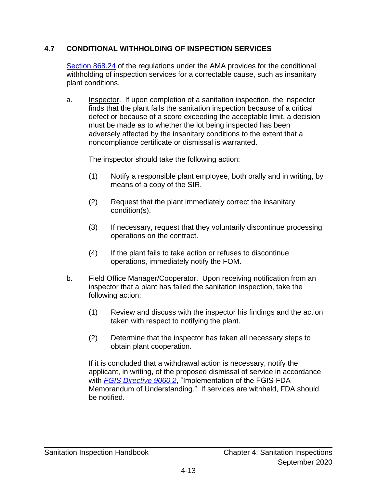#### <span id="page-40-0"></span>**4.7 CONDITIONAL WITHHOLDING OF INSPECTION SERVICES**

[Section 868.24](https://www.ams.usda.gov/rules-regulations/us-grain-standards-act) of the regulations under the AMA provides for the conditional withholding of inspection services for a correctable cause, such as insanitary plant conditions.

a. Inspector. If upon completion of a sanitation inspection, the inspector finds that the plant fails the sanitation inspection because of a critical defect or because of a score exceeding the acceptable limit, a decision must be made as to whether the lot being inspected has been adversely affected by the insanitary conditions to the extent that a noncompliance certificate or dismissal is warranted.

The inspector should take the following action:

- (1) Notify a responsible plant employee, both orally and in writing, by means of a copy of the SIR.
- (2) Request that the plant immediately correct the insanitary condition(s).
- (3) If necessary, request that they voluntarily discontinue processing operations on the contract.
- (4) If the plant fails to take action or refuses to discontinue operations, immediately notify the FOM.
- b. Field Office Manager/Cooperator. Upon receiving notification from an inspector that a plant has failed the sanitation inspection, take the following action:
	- (1) Review and discuss with the inspector his findings and the action taken with respect to notifying the plant.
	- (2) Determine that the inspector has taken all necessary steps to obtain plant cooperation.

If it is concluded that a withdrawal action is necessary, notify the applicant, in writing, of the proposed dismissal of service in accordance with *[FGIS Directive 9060.2](https://www.ams.usda.gov/sites/default/files/media/FGIS9060_2.pdf)*, "Implementation of the FGIS-FDA Memorandum of Understanding." If services are withheld, FDA should be notified.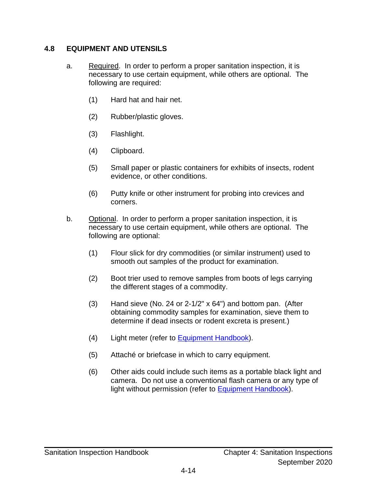#### <span id="page-41-0"></span>**4.8 EQUIPMENT AND UTENSILS**

- a. Required. In order to perform a proper sanitation inspection, it is necessary to use certain equipment, while others are optional. The following are required:
	- (1) Hard hat and hair net.
	- (2) Rubber/plastic gloves.
	- (3) Flashlight.
	- (4) Clipboard.
	- (5) Small paper or plastic containers for exhibits of insects, rodent evidence, or other conditions.
	- (6) Putty knife or other instrument for probing into crevices and corners.
- b. Optional. In order to perform a proper sanitation inspection, it is necessary to use certain equipment, while others are optional. The following are optional:
	- (1) Flour slick for dry commodities (or similar instrument) used to smooth out samples of the product for examination.
	- (2) Boot trier used to remove samples from boots of legs carrying the different stages of a commodity.
	- (3) Hand sieve (No. 24 or 2-1/2" x 64") and bottom pan. (After obtaining commodity samples for examination, sieve them to determine if dead insects or rodent excreta is present.)
	- (4) Light meter (refer to **Equipment Handbook**).
	- (5) Attaché or briefcase in which to carry equipment.
	- (6) Other aids could include such items as a portable black light and camera. Do not use a conventional flash camera or any type of light without permission (refer to **Equipment Handbook**).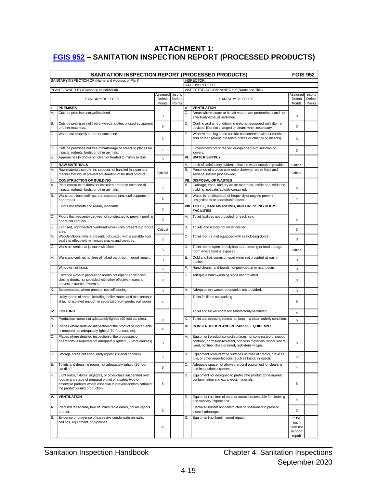#### <span id="page-42-0"></span>**ATTACHMENT 1: [FGIS 952](https://www.ams.usda.gov/resources/fgis-952-sanitation-inspection-report-processed-products) – SANITATION INSPECTION REPORT (PROCESSED PRODUCTS)**

| <b>SANITATION INSPECTION REPORT (PROCESSED PRODUCTS)</b><br><b>FGIS 952</b> |                                                                                                                                                                                                                                 |                              |                             |                                    |                                                                                                                                                                                     |                                                |                             |
|-----------------------------------------------------------------------------|---------------------------------------------------------------------------------------------------------------------------------------------------------------------------------------------------------------------------------|------------------------------|-----------------------------|------------------------------------|-------------------------------------------------------------------------------------------------------------------------------------------------------------------------------------|------------------------------------------------|-----------------------------|
|                                                                             | SANITARY INSPECTION OF (Name and Address of Plant)                                                                                                                                                                              |                              |                             | <b>INSPECTOR</b><br>DATE INSPECTED |                                                                                                                                                                                     |                                                |                             |
|                                                                             | PLANT OWNED BY (Company or Individual)                                                                                                                                                                                          |                              |                             |                                    | INSPECTOR ACCOMPANIED BY (Name and Title)                                                                                                                                           |                                                |                             |
|                                                                             | SANITARY DEFECTS                                                                                                                                                                                                                | Assigned<br>Defect<br>Points | Inspr's<br>Defect<br>Points |                                    | SANITARY DEFECTS                                                                                                                                                                    | Assigned<br>Defect<br>Points                   | Inspr's<br>Defect<br>Points |
|                                                                             | <b>PREMISES</b>                                                                                                                                                                                                                 |                              |                             | ۷.                                 | <b>VENTILATION</b>                                                                                                                                                                  |                                                |                             |
| Α.                                                                          | Outside premises not well drained                                                                                                                                                                                               | 3                            |                             | С.                                 | Areas where steam or hot air vapors are predominant and not<br>effectively exhaust ventilated.                                                                                      | 3                                              |                             |
| B.                                                                          | Outside premises not free of weeds, clutter, unused equipment<br>or other materials.                                                                                                                                            | 3                            |                             | D.                                 | Cooling and air-conditioning units not equipped with filtering<br>devices; filter not changed or cleans when necessary.                                                             | 3                                              |                             |
| C.                                                                          | Waste not properly stored or contained.                                                                                                                                                                                         | 3                            |                             | Е.                                 | Window opening to the outside not screened with 14-mesh or<br>finer screen (during presence of flies or other flying insects).                                                      | 3                                              |                             |
| D.                                                                          | Outside premises not free of harborage or breeding places for<br>insects, rodents, birds, or other animals.                                                                                                                     | 4                            |                             | F.                                 | Exhaust fans not screened or equipped with self-closing<br>louvers.                                                                                                                 | 3                                              |                             |
| Ε.                                                                          | Approaches to docks not clean or treated to minimize dust.                                                                                                                                                                      | 3                            |                             | VI.                                | <b>WATER SUPPLY</b>                                                                                                                                                                 |                                                |                             |
| Ш.                                                                          | <b>RAW MATERIALS</b>                                                                                                                                                                                                            |                              |                             | А.                                 | Lack of satisfactory evidence that the water supply is potable.                                                                                                                     | Critical                                       |                             |
| Α.                                                                          | Raw materials used in the product not handled in a sanitary<br>manner that would prevent adulteration of finished product.                                                                                                      | Critical                     |                             | В.                                 | Presence of a cross-connection between water lines and<br>sewage system (not allowed).                                                                                              | Critical                                       |                             |
| III.                                                                        | <b>CONSTRUCTION OF BUILDING</b>                                                                                                                                                                                                 |                              |                             | VII.                               | <b>DISPOSAL OF WASTES</b>                                                                                                                                                           |                                                |                             |
| Α.                                                                          | Plant construction does not excluded probable entrance of<br>insects, rodents, birds, or other animals.                                                                                                                         | 5                            |                             | А.                                 | Garbage, trash, and dry waste materials, inside or outside the<br>building, not satisfactorily contained.                                                                           | 4                                              |                             |
| B.                                                                          | Walls, partitions, ceilings, and exposed structural supports in<br>poor repair.                                                                                                                                                 | 3                            |                             | В.                                 | Waste is not disposed of frequently enough to prevent<br>unsightliness or undesirable odors.                                                                                        | 4                                              |                             |
| C.                                                                          | Floors not smooth and readily cleanable.                                                                                                                                                                                        | 3                            |                             |                                    | VIII. TOILET, HAND-WASHING, AND DRESSING ROOM<br><b>FACILITIES</b>                                                                                                                  |                                                |                             |
| D.                                                                          | Floors that frequently get wet not constructed to prevent pooling<br>or are not kept dry.                                                                                                                                       | 3                            |                             | А.                                 | Toilet facilities not provided for each sex.                                                                                                                                        | 4                                              |                             |
| Ε.                                                                          | Exposed, unprotected overhead sewer lines present in product<br>area.                                                                                                                                                           | Critical                     |                             | В.                                 | Toilets and urinals not water-flushed.                                                                                                                                              | 3                                              |                             |
| F.                                                                          | Wooden floors, where present, not coated with a suitable floor<br>seal that effectively minimizes cracks and crevices.                                                                                                          | 5                            |                             | C.                                 | Toilet room(s) not equipped with self-closing doors.                                                                                                                                | 3                                              |                             |
| G.                                                                          | Walls not sealed at juncture with floor.                                                                                                                                                                                        | 3                            |                             | D.                                 | Toilet rooms open directly into a processing or food storage<br>room where food is exposed.                                                                                         | Critical                                       |                             |
| Η.                                                                          | Walls and ceilings not free of flaked paint, nor in good repair.                                                                                                                                                                | 3                            |                             | Е.                                 | Cold and hot, warm, or tepid water not provided at wash<br>basins.                                                                                                                  | 3                                              |                             |
|                                                                             | Windows not intact.                                                                                                                                                                                                             | 3                            |                             | F.                                 | Hand cleaner and towels not provided at or near basin.                                                                                                                              | 3                                              |                             |
| J.                                                                          | Entrance ways to production rooms not equipped with self-<br>closing doors, nor provided with other effective means to<br>prevent entrance of vermin.                                                                           | 3                            |                             | G.                                 | Adequate hand-washing signs not provided.                                                                                                                                           | 3                                              |                             |
| Κ.                                                                          | Screen doors, where present, not self-closing.                                                                                                                                                                                  | 3                            |                             | Н.                                 | Adequate dry waste receptacles not provided.                                                                                                                                        | 3                                              |                             |
| L.                                                                          | Utility rooms of areas, including boiler rooms and maintenance<br>ship, not isolated enough or separated from production rooms.                                                                                                 | 4                            |                             | L                                  | Toilet facilities not working.                                                                                                                                                      | 5                                              |                             |
| IV.                                                                         | <b>LIGHTING</b>                                                                                                                                                                                                                 |                              |                             | J.                                 | Toilet and locker room not satisfactorily ventilated.                                                                                                                               | 4                                              |                             |
| А.                                                                          | Production rooms not adequately lighted (20-foot candles).                                                                                                                                                                      | 3                            |                             | Κ.                                 | Toilet and dressing rooms not kept in a clean orderly condition.                                                                                                                    | 5                                              |                             |
| В.                                                                          | Places where detailed inspection of the product or ingredients<br>is required not adequately lighted (50-foot candles).                                                                                                         | 4                            |                             | IX.                                | <b>CONSTRUCTION AND REPAIR OF EQUIPEMNT</b>                                                                                                                                         |                                                |                             |
| C.                                                                          | Places where detailed inspection of the processes or<br>operations is required not adequately lighted (50-foot candles).                                                                                                        | 3                            |                             | А.                                 | Equipment product contact surfaces not constructed of smooth<br>nontoxic, corrosion-resistant, odorless materials; wood, where<br>used, not fine, close grained, high-density type. | 5                                              |                             |
| D.                                                                          | Storage areas not adequately lighted (20-foot candles).                                                                                                                                                                         | 3                            |                             | В.                                 | Equipment product zone surfaces not free of cracks, crevices,<br>pits, or other imperfections (such as knots, in wood).                                                             | 5                                              |                             |
| Ε.                                                                          | Toilets and dressing rooms not adequately lighted (20-foot<br>candles).                                                                                                                                                         | 3                            |                             | С.                                 | Adequate space not allowed around equipment for cleaning<br>and inspection purposes.                                                                                                | 4                                              |                             |
| F.                                                                          | Light bulbs, fixtures, skylights, or other glass suspended over<br>food in any stage of preparation not of a safety type or<br>otherwise protects where essential to prevent contamination of<br>the product during production. | 5                            |                             | D.                                 | Equipment not designed to protect the product zone against<br>contamination and extraneous materials.                                                                               | 5                                              |                             |
| V.                                                                          | <b>VENTILATION</b>                                                                                                                                                                                                              |                              |                             | Е.                                 | Equipment not free of parts or areas inaccessible for cleaning<br>and sanitary inspections.                                                                                         | 4                                              |                             |
| А.                                                                          | Plant not reasonably free of undesirable odors, hot air vapors<br>or dust.                                                                                                                                                      | 3                            |                             | F.                                 | Electrical system not constructed or positioned to prevent<br>insect harborage.                                                                                                     | 3                                              |                             |
| B.                                                                          | Evidence or presence of excessive condensate on walls,<br>ceilings, equipment, or pipelines.                                                                                                                                    | 4                            |                             | G.                                 | Equipment not kept in good repair.                                                                                                                                                  | 2 for<br>each<br>item not<br>in good<br>repair |                             |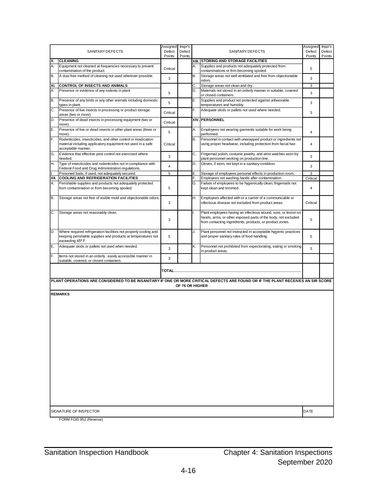| SANITARY DEFECTS                  |                                                                                                                                                     | Assigned<br>Defect<br>Points | Inspr's<br>Defect<br>Points |          | SANITARY DEFECTS                                                                                                                                                                            | Assigned<br>Defect<br>Points | Inspr's<br>Defect<br>Points |
|-----------------------------------|-----------------------------------------------------------------------------------------------------------------------------------------------------|------------------------------|-----------------------------|----------|---------------------------------------------------------------------------------------------------------------------------------------------------------------------------------------------|------------------------------|-----------------------------|
| х.                                | <b>CLEANING</b>                                                                                                                                     |                              |                             |          | XIII. STORING AND STORAGE FACILITIES                                                                                                                                                        |                              |                             |
| А.                                | Equipment not cleaned at frequencies necessary to prevent<br>contamination of the product.                                                          | Critical                     |                             |          | Supplies and products not adequately protected from<br>contaminations or frim becoming spoiled.                                                                                             | 5                            |                             |
| В.                                | A dust free method of cleaning not used wherever possible.                                                                                          | 3                            |                             | В.       | Storage areas not well ventilated and free from objectionable<br>odors.                                                                                                                     | 3                            |                             |
| XI.                               | CONTROL OF INSECTS AND ANIMALS                                                                                                                      |                              |                             | С.       | Storage areas not clean and dry.                                                                                                                                                            | 3                            |                             |
| А.                                | Presence or evidence of any rodents in plant.                                                                                                       | 5                            |                             | D.       | Materials not stored in an orderly manner in suitable, covered<br>or closed containers.                                                                                                     | 3                            |                             |
| B.                                | Presence of any birds or any other animals including domestic<br>types in plant.                                                                    | 5                            |                             | Ε.       | Supplies and product not protected against unfavorable<br>temperatures and humidity.                                                                                                        | 3                            |                             |
| C.                                | Presence of live insects in processing or product storage<br>areas (two or more).                                                                   | Critical                     |                             | F.       | Adequate skids or pallets not used where needed.                                                                                                                                            | 3                            |                             |
| D.                                | Presence of dead insects in processing equipment (two or<br>more).                                                                                  | Critical                     |                             |          | XIV. PERSONNEL                                                                                                                                                                              |                              |                             |
| Ε.                                | Presence of live or dead insects in other plant areas (three or<br>more).                                                                           | 5                            |                             | А.       | Employees not wearing garments suitable for work being<br>performed.                                                                                                                        | 4                            |                             |
| F.                                | Rodenticides, insecticides, and other control or eradication<br>material including applicatory equipment not used in a safe<br>acceptable manner.   | Critical                     |                             | В.       | Personnel in contact with unwrapped product or ingredients not<br>using proper headwear, including protection from facial hair.                                                             | 4                            |                             |
| G.                                | Evidence that effective pest control not exercised where<br>needed.                                                                                 | 3                            |                             | С.       | Fingernail polish, costume jewelry, and wrist watches worn by<br>plant personnel working on production line.                                                                                | 3                            |                             |
| Η.                                | Type of insecticides and rodenticides not in compliance with<br>Federal Food and Drug Administration regulations.                                   | $\overline{4}$               |                             | D.       | Gloves, if worn, not kept in a sanitary condition.                                                                                                                                          | 3                            |                             |
|                                   | Poisoned baits, if used, not adequately secured.                                                                                                    | 5                            |                             | Е.       | Storage of employees personal effects in production room.                                                                                                                                   | 3                            |                             |
| XII.<br>Α.                        | <b>COOLING AND REFRIGERATION FACILITIES</b><br>Perishable supplies and products not adequately protected                                            |                              |                             | F.<br>G. | Employees not washing hands after contamination.<br>Failure of employees to be hygienically clean; fingernails not                                                                          | Critical                     |                             |
|                                   | from contamination or from becoming spoiled.                                                                                                        | 5                            |                             |          | kept clean and trimmed.                                                                                                                                                                     | $\overline{4}$               |                             |
| <b>B.</b>                         | Storage areas not free of visible mold and objectionable odors.                                                                                     | 3                            |                             | Η.       | Employees affected with or a carrier of a communicable or<br>infectious disease not excluded from product areas.                                                                            | Critical                     |                             |
| C.                                | Storage areas not reasonably clean.                                                                                                                 | 3                            |                             |          | Plant employees having an infectious wound, sore, or lesion on<br>hands, arms, or other exposed parts of the body, not excluded<br>from contacting ingredients, products, or product zones. | 5                            |                             |
| D.                                | Where required refrigeration facilities not properly cooling and<br>keeping perishable supplies and products at temperatures not<br>exceeding 45°F. | 5                            |                             | J.       | Plant personnel not instructed in acceptable hygienic practices<br>and proper sanitary rules of food handling.                                                                              | 5                            |                             |
| Ε.                                | Adequate skids or pallets not used when needed.                                                                                                     | 3                            |                             | Κ.       | Personnel not prohibited from expectorating, eating or smoking<br>in product areas.                                                                                                         | 5                            |                             |
| F.                                | Items not stored in an orderly, easily accessible manner in<br>suitable, covered, or closed containers.                                             | 3                            |                             |          |                                                                                                                                                                                             |                              |                             |
|                                   |                                                                                                                                                     |                              |                             |          |                                                                                                                                                                                             |                              |                             |
|                                   | PLANT OPERATIONS ARE CONSIDERED TO BE INSANITARY IF ONE OR MORE CRITICAL DEFECTS ARE FOUND OR IF THE PLANT RECEIVES AN SIR SCORE                    |                              |                             |          |                                                                                                                                                                                             |                              |                             |
| OF 76 OR HIGHER<br><b>REMARKS</b> |                                                                                                                                                     |                              |                             |          |                                                                                                                                                                                             |                              |                             |
|                                   | <b>SIGNATURE OF INSPECTOR</b>                                                                                                                       |                              |                             |          |                                                                                                                                                                                             |                              |                             |
|                                   | FORM FGIS 952 (Reverse)                                                                                                                             |                              |                             |          |                                                                                                                                                                                             | DATE                         |                             |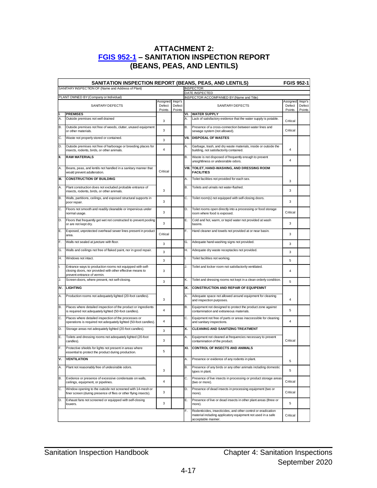#### **ATTACHMENT 2: [FGIS 952-1](https://www.ams.usda.gov/resources/fgis-952-1-sanitation-inspection-report-beans-peas-and-lentils) – SANITATION INSPECTION REPORT (BEANS, PEAS, AND LENTILS)**

<span id="page-44-0"></span>

|      | SANITATION INSPECTION REPORT (BEANS, PEAS, AND LENTILS)                                                                                               |                              |                             | <b>FGIS 952-1</b>                                                  |                                                                                                                                                   |                              |                             |
|------|-------------------------------------------------------------------------------------------------------------------------------------------------------|------------------------------|-----------------------------|--------------------------------------------------------------------|---------------------------------------------------------------------------------------------------------------------------------------------------|------------------------------|-----------------------------|
|      | SANITARY INSPECTION OF (Name and Address of Plant)                                                                                                    |                              |                             |                                                                    | <b>INSPECTOR</b>                                                                                                                                  |                              |                             |
|      | PLANT OWNED BY (Company or Individual)                                                                                                                |                              |                             | DATE INSPECTED<br><b>INSPECTOR ACCOMPANIED BY (Name and Title)</b> |                                                                                                                                                   |                              |                             |
|      | <b>SANITARY DEFECTS</b>                                                                                                                               | Assigned<br>Defect<br>Points | Inspr's<br>Defect<br>Points |                                                                    | SANITARY DEFECTS                                                                                                                                  | Assigned<br>Defect<br>Points | Inspr's<br>Defect<br>Points |
|      | <b>PREMISES</b>                                                                                                                                       |                              |                             | VI.                                                                | <b>WATER SUPPLY</b>                                                                                                                               |                              |                             |
| Α.   | Outside premises not well drained                                                                                                                     | 3                            |                             | А.                                                                 | Lack of satisfactory evidence that the water supply is potable.                                                                                   | Critical                     |                             |
| В.   | Outside premises not free of weeds, clutter, unused equipment<br>or other materials.                                                                  | 3                            |                             | <b>B.</b>                                                          | Presence of a cross-connection between water lines and<br>sewage system (not allowed).                                                            | Critical                     |                             |
| C.   | Waste not properly stored or contained.                                                                                                               | 3                            |                             |                                                                    | <b>VII. DISPOSAL OF WASTES</b>                                                                                                                    |                              |                             |
| D.   | Outside premises not free of harborage or breeding places for<br>insects, rodents, birds, or other animals.                                           | $\overline{4}$               |                             | А.                                                                 | Garbage, trash, and dry waste materials, inside or outside the<br>building, not satisfactorily contained.                                         | 4                            |                             |
| II.  | <b>RAW MATERIALS</b>                                                                                                                                  |                              |                             | В.                                                                 | Waste is not disposed of frequently enough to prevent<br>unsightliness or undesirable odors.                                                      | 4                            |                             |
| Α.   | Beans, peas, and lentils not handled in a sanitary manner that<br>would prevent adulteration.                                                         | Critical                     |                             |                                                                    | VIII. TOILET, HAND-WASHING, AND DRESSING ROOM<br><b>FACILITIES</b>                                                                                |                              |                             |
| lıı. | <b>CONSTRUCTION OF BUILDING</b>                                                                                                                       |                              |                             | А.                                                                 | Toilet facilities not provided for each sex.                                                                                                      | 3                            |                             |
| Α.   | Plant construction does not excluded probable entrance of<br>insects, rodents, birds, or other animals.                                               | 3                            |                             | <b>B.</b>                                                          | Toilets and urinals not water-flushed.                                                                                                            | 3                            |                             |
| B.   | Walls, partitions, ceilings, and exposed structural supports in<br>poor repair.                                                                       | 3                            |                             | С.                                                                 | Toilet room(s) not equipped with self-closing doors.                                                                                              | 3                            |                             |
| C.   | Floors not smooth and readily cleanable or impervious under<br>normal usage.                                                                          | 3                            |                             | D.                                                                 | Toilet rooms open directly into a processing or food storage<br>room where food is exposed.                                                       | Critical                     |                             |
| D.   | Floors that frequently get wet not constructed to prevent pooling<br>or are not kept dry.                                                             | 3                            |                             | Е.                                                                 | Cold and hot, warm, or tepid water not provided at wash<br>basins.                                                                                | 3                            |                             |
| Ε.   | Exposed, unprotected overhead sewer lines present in product<br>area.                                                                                 | Critical                     |                             | F.                                                                 | Hand cleaner and towels not provided at or near basin.                                                                                            | 3                            |                             |
| F.   | Walls not sealed at juncture with floor.                                                                                                              | 3                            |                             | G.                                                                 | Adequate hand-washing signs not provided.                                                                                                         | 3                            |                             |
| G.   | Walls and ceilings not free of flaked paint, nor in good repair.                                                                                      | 3                            |                             | Н.                                                                 | Adequate dry waste receptacles not provided.                                                                                                      | 3                            |                             |
| Η.   | Windows not intact.                                                                                                                                   | 3                            |                             |                                                                    | Toilet facilities not working.                                                                                                                    | 5                            |                             |
| II.  | Entrance ways to production rooms not equipped with self-<br>closing doors, nor provided with other effective means to<br>prevent entrance of vermin. | 3                            |                             | J.                                                                 | Toilet and locker room not satisfactorily ventilated.                                                                                             | 4                            |                             |
| J.   | Screen doors, where present, not self-closing.                                                                                                        | 3                            |                             | Κ.                                                                 | Toilet and dressing rooms not kept in a clean orderly condition.                                                                                  | 5                            |                             |
| IV.  | <b>LIGHTING</b>                                                                                                                                       |                              |                             | IX.                                                                | <b>CONSTRUCTION AND REPAIR OF EQUIPEMNT</b>                                                                                                       |                              |                             |
| Α.   | Production rooms not adequately lighted (20-foot candles).                                                                                            | 3                            |                             | А.                                                                 | Adequate space not allowed around equipment for cleaning<br>and inspection purposes.                                                              | 4                            |                             |
| В.   | Places where detailed inspection of the product or ingredients<br>is required not adequately lighted (50-foot candles).                               | $\overline{4}$               |                             | В.                                                                 | Equipment not designed to protect the product zone against<br>contamination and extraneous materials.                                             | 5                            |                             |
| C.   | Places where detailed inspection of the processes or<br>operations is required not adequately lighted (50-foot candles).                              | 4                            |                             | C.                                                                 | Equipment not free of parts or areas inaccessible for cleaning<br>and sanitary inspections.                                                       | 4                            |                             |
| D.   | Storage areas not adequately lighted (20-foot candles).                                                                                               | 3                            |                             | х.                                                                 | <b>CLEANING AND SANITIZING TREATMENT</b>                                                                                                          |                              |                             |
| Ε.   | Toilets and dressing rooms not adequately lighted (20-foot<br>candles).                                                                               | 3                            |                             | А.                                                                 | Equipment not cleaned at frequencies necessary to prevent<br>contamination of the product.                                                        | Critical                     |                             |
| F.   | Protective shields for lights not present in areas where<br>essential to protect the product during production.                                       | 5                            |                             | XI.                                                                | <b>CONTROL OF INSECTS AND ANIMALS</b>                                                                                                             |                              |                             |
| ۷.   | <b>VENTILATION</b>                                                                                                                                    |                              |                             | А.                                                                 | Presence or evidence of any rodents in plant.                                                                                                     | 5                            |                             |
| Α.   | Plant not reasonably free of undesirable odors.                                                                                                       | 3                            |                             | <b>B.</b>                                                          | Presence of any birds or any other animals including domestic<br>types in plant.                                                                  | 5                            |                             |
| B.   | Evidence or presence of excessive condensate on walls,<br>ceilings, equipment, or pipelines.                                                          | 4                            |                             | C.                                                                 | Presence of live insects in processing or product storage areas<br>(two or more).                                                                 | Critical                     |                             |
| C.   | Window opening to the outside not screened with 14-mesh or<br>finer screen (during presence of flies or other flying insects).                        | 3                            |                             | D.                                                                 | Presence of dead insects in processing equipment (two or<br>more).                                                                                | Critical                     |                             |
| D.   | Exhaust fans not screened or equipped with self-closing<br>louvers.                                                                                   | 3                            |                             | Е.                                                                 | Presence of live or dead insects in other plant areas (three or<br>more).                                                                         | 5                            |                             |
|      |                                                                                                                                                       |                              |                             | F.                                                                 | Rodenticides, insecticides, and other control or eradication<br>material including applicatory equipment not used in a safe<br>acceptable manner. | Critical                     |                             |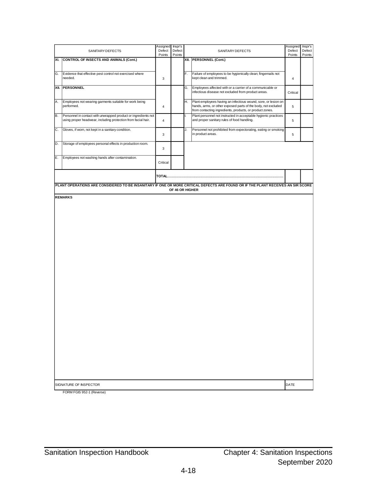|     | SANITARY DEFECTS                                                                                                                | Assigned<br>Defect<br>Points | Inspr's<br>Defect<br>Points |    | SANITARY DEFECTS                                                                                                                                                                            | Assigned<br>Defect<br>Points | Inspr's<br>Defect<br>Points |  |  |
|-----|---------------------------------------------------------------------------------------------------------------------------------|------------------------------|-----------------------------|----|---------------------------------------------------------------------------------------------------------------------------------------------------------------------------------------------|------------------------------|-----------------------------|--|--|
| XI. | <b>CONTROL OF INSECTS AND ANIMALS (Cont.)</b>                                                                                   |                              |                             |    | XII. PERSONNEL (Cont.)                                                                                                                                                                      |                              |                             |  |  |
|     |                                                                                                                                 |                              |                             |    |                                                                                                                                                                                             |                              |                             |  |  |
| G.  | Evidence that effective pest control not exercised where<br>needed.                                                             | 3                            |                             | F. | Failure of employees to be hygienically clean; fingernails not<br>kept clean and trimmed.                                                                                                   | 4                            |                             |  |  |
|     | XII. PERSONNEL                                                                                                                  |                              |                             | G. | Employees affected with or a carrier of a communicable or<br>infectious disease not excluded from product areas.                                                                            | Critical                     |                             |  |  |
| Α.  | Employees not wearing garments suitable for work being<br>performed.                                                            | $\overline{4}$               |                             | Η. | Plant employees having an infectious wound, sore, or lesion on<br>hands, arms, or other exposed parts of the body, not excluded<br>from contacting ingredients, products, or product zones. | 5                            |                             |  |  |
| В.  | Personnel in contact with unwrapped product or ingredients not<br>using proper headwear, including protection from facial hair. | $\overline{4}$               |                             | I. | Plant personnel not instructed in acceptable hygienic practices<br>and proper sanitary rules of food handling.                                                                              | 5                            |                             |  |  |
| C.  | Gloves, if worn, not kept in a sanitary condition.                                                                              | 3                            |                             | J. | Personnel not prohibited from expectorating, eating or smoking<br>in product areas.                                                                                                         | 5                            |                             |  |  |
| D.  | Storage of employees personal effects in production room.                                                                       | 3                            |                             |    |                                                                                                                                                                                             |                              |                             |  |  |
| Ε.  | Employees not washing hands after contamination.                                                                                | Critical                     |                             |    |                                                                                                                                                                                             |                              |                             |  |  |
|     |                                                                                                                                 |                              |                             |    |                                                                                                                                                                                             |                              |                             |  |  |
|     |                                                                                                                                 |                              | OF 46 OR HIGHER             |    | PLANT OPERATIONS ARE CONSIDERED TO BE INSANITARY IF ONE OR MORE CRITICAL DEFECTS ARE FOUND OR IF THE PLANT RECEIVES AN SIR SCORE                                                            |                              |                             |  |  |
|     | <b>REMARKS</b>                                                                                                                  |                              |                             |    |                                                                                                                                                                                             |                              |                             |  |  |
|     | SIGNATURE OF INSPECTOR                                                                                                          |                              |                             |    |                                                                                                                                                                                             | DATE                         |                             |  |  |

FORM FGIS 952-1 (Reverse)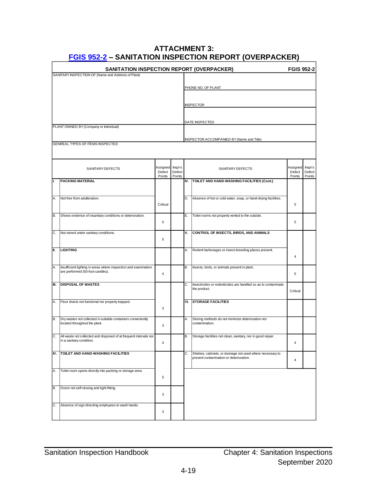<span id="page-46-0"></span>

| <b>FGIS 952-2</b><br>SANITATION INSPECTION REPORT (OVERPACKER) |                                                                                                     |                  |                  |    |                                                                                                      |                  |                  |
|----------------------------------------------------------------|-----------------------------------------------------------------------------------------------------|------------------|------------------|----|------------------------------------------------------------------------------------------------------|------------------|------------------|
|                                                                | SANITARY INSPECTION OF (Name and Address of Plant)                                                  |                  |                  |    |                                                                                                      |                  |                  |
|                                                                |                                                                                                     |                  |                  |    | PHONE NO. OF PLANT                                                                                   |                  |                  |
|                                                                |                                                                                                     |                  |                  |    |                                                                                                      |                  |                  |
|                                                                |                                                                                                     |                  |                  |    |                                                                                                      |                  |                  |
|                                                                |                                                                                                     |                  |                  |    | <b>INSPECTOR</b>                                                                                     |                  |                  |
|                                                                |                                                                                                     |                  |                  |    |                                                                                                      |                  |                  |
|                                                                | PLANT OWNED BY (Company or Individual)                                                              |                  |                  |    | DATE INSPECTED                                                                                       |                  |                  |
|                                                                |                                                                                                     |                  |                  |    |                                                                                                      |                  |                  |
|                                                                | <b>GENREAL TYPES OF ITEMS INSPECTED</b>                                                             |                  |                  |    | INSPECTOR ACCOMPANIED BY (Name and Title)                                                            |                  |                  |
|                                                                |                                                                                                     |                  |                  |    |                                                                                                      |                  |                  |
|                                                                |                                                                                                     |                  |                  |    |                                                                                                      |                  |                  |
|                                                                | SANITARY DEFECTS                                                                                    | Assigned Inspr's |                  |    | SANITARY DEFECTS                                                                                     | Assigned         | Inspr's          |
|                                                                |                                                                                                     | Defect<br>Points | Defect<br>Points |    |                                                                                                      | Defect<br>Points | Defect<br>Points |
| II.                                                            | <b>PACKING MATERIAL</b>                                                                             |                  |                  |    | IV. TOILET AND HAND-WASHING FACILITIES (Cont.)                                                       |                  |                  |
|                                                                |                                                                                                     |                  |                  |    |                                                                                                      |                  |                  |
| IA.                                                            | Not free from adulteration.                                                                         |                  |                  |    | D. Absence of hot or cold water, soap, or hand-drying facilities.                                    |                  |                  |
|                                                                |                                                                                                     | Critical         |                  |    |                                                                                                      | 5                |                  |
| IB.                                                            | Shows evidence of insanitary conditions or deterioration.                                           |                  |                  | Е. | Toilet rooms not properly vented to the outside.                                                     |                  |                  |
|                                                                |                                                                                                     | 5                |                  |    |                                                                                                      | 5                |                  |
| IC.                                                            |                                                                                                     |                  |                  | ۷. | CONTROL OF INSECTS, BIRDS, AND ANIMALS                                                               |                  |                  |
|                                                                | Not stored under sanitary conditions.                                                               | 5                |                  |    |                                                                                                      |                  |                  |
|                                                                |                                                                                                     |                  |                  |    |                                                                                                      |                  |                  |
| III.                                                           | <b>LIGHTING</b>                                                                                     |                  |                  | Α. | Rodent harborages or insect-breeding places present.                                                 | $\overline{4}$   |                  |
|                                                                |                                                                                                     |                  |                  |    |                                                                                                      |                  |                  |
| A.                                                             | Insufficient lighting in areas where inspection and examination<br>are performed (50-foot candles). |                  |                  | В. | Insects, birds, or animals present in plant.                                                         |                  |                  |
|                                                                |                                                                                                     | 4                |                  |    |                                                                                                      | 5                |                  |
| III.                                                           | <b>DISPOSAL OF WASTES</b>                                                                           |                  |                  | С. | Insecticides or rodenticides are handled so as to contaminate                                        |                  |                  |
|                                                                |                                                                                                     |                  |                  |    | the product.                                                                                         | Critical         |                  |
| IA.                                                            | Floor drains not functional nor properly trapped.                                                   |                  |                  |    | <b>VI. STORAGE FACILITIES</b>                                                                        |                  |                  |
|                                                                |                                                                                                     | 3                |                  |    |                                                                                                      |                  |                  |
| IB.                                                            | Dry wastes not collected in suitable containers conveniently                                        |                  |                  | Α. | Storing methods do not minimize deterioration nor                                                    |                  |                  |
|                                                                | located throughout the plant.                                                                       | 3                |                  |    | contamination.                                                                                       |                  |                  |
| Ic.                                                            | All waste not collected and disposed of at frequent intervals nor                                   |                  |                  | В. | Storage facilities not clean, sanitary, nor in good repair.                                          |                  |                  |
|                                                                | in a sanitary condition.                                                                            | $\overline{4}$   |                  |    |                                                                                                      | 4                |                  |
|                                                                |                                                                                                     |                  |                  |    |                                                                                                      |                  |                  |
| IV.                                                            | <b>TOILET AND HAND-WASHING FACILITIES</b>                                                           |                  |                  | С. | Shelves, cabinets, or dunnage not used where necessary to<br>prevent contamination or deterioration. | 4                |                  |
|                                                                |                                                                                                     |                  |                  |    |                                                                                                      |                  |                  |
| A.                                                             | Toilet room opens directly into packing or storage area.                                            |                  |                  |    |                                                                                                      |                  |                  |
|                                                                |                                                                                                     | 5                |                  |    |                                                                                                      |                  |                  |
| IB.                                                            | Doors not self-closing and tight fitting.                                                           |                  |                  |    |                                                                                                      |                  |                  |
|                                                                |                                                                                                     | 3                |                  |    |                                                                                                      |                  |                  |
| IC.                                                            | Absence of sign directing employees to wash hands.                                                  |                  |                  |    |                                                                                                      |                  |                  |
|                                                                |                                                                                                     | 3                |                  |    |                                                                                                      |                  |                  |
|                                                                |                                                                                                     |                  |                  |    |                                                                                                      |                  |                  |

#### **ATTACHMENT 3: [FGIS 952-2](https://www.ams.usda.gov/resources/fgis-952-2-sanitation-inspection-report-overpacker) – SANITATION INSPECTION REPORT (OVERPACKER)**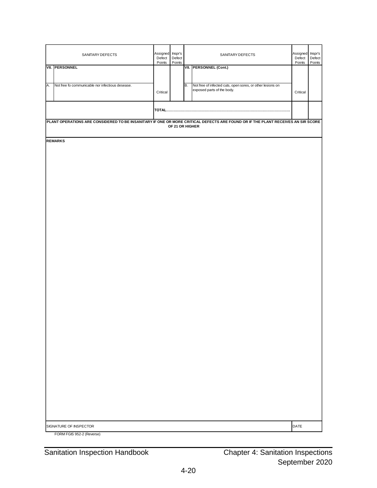| SANITARY DEFECTS                                       | Assigned Inspr's<br>Defect<br>Points | Defect<br>Points |           | SANITARY DEFECTS                                                                                                                 | Assigned Inspr's<br>Defect<br>Points | Defect<br>Points |
|--------------------------------------------------------|--------------------------------------|------------------|-----------|----------------------------------------------------------------------------------------------------------------------------------|--------------------------------------|------------------|
| <b>VII. PERSONNEL</b>                                  |                                      |                  |           | VII. PERSONNEL (Cont.)                                                                                                           |                                      |                  |
| A.<br>Not free fo communicable nor infectious desease. |                                      |                  | <b>B.</b> | Not free of infected cuts, open sores, or other lesions on                                                                       |                                      |                  |
|                                                        | Critical                             |                  |           | exposed parts of the body.                                                                                                       | Critical                             |                  |
|                                                        |                                      |                  |           |                                                                                                                                  |                                      |                  |
|                                                        |                                      | OF 21 OR HIGHER  |           | PLANT OPERATIONS ARE CONSIDERED TO BE INSANITARY IF ONE OR MORE CRITICAL DEFECTS ARE FOUND OR IF THE PLANT RECEIVES AN SIR SCORE |                                      |                  |
| <b>REMARKS</b>                                         |                                      |                  |           |                                                                                                                                  |                                      |                  |
|                                                        |                                      |                  |           |                                                                                                                                  |                                      |                  |
|                                                        |                                      |                  |           |                                                                                                                                  |                                      |                  |
|                                                        |                                      |                  |           |                                                                                                                                  |                                      |                  |
|                                                        |                                      |                  |           |                                                                                                                                  |                                      |                  |
|                                                        |                                      |                  |           |                                                                                                                                  |                                      |                  |
|                                                        |                                      |                  |           |                                                                                                                                  |                                      |                  |
|                                                        |                                      |                  |           |                                                                                                                                  |                                      |                  |
|                                                        |                                      |                  |           |                                                                                                                                  |                                      |                  |
|                                                        |                                      |                  |           |                                                                                                                                  |                                      |                  |
|                                                        |                                      |                  |           |                                                                                                                                  |                                      |                  |
|                                                        |                                      |                  |           |                                                                                                                                  |                                      |                  |
|                                                        |                                      |                  |           |                                                                                                                                  |                                      |                  |
|                                                        |                                      |                  |           |                                                                                                                                  |                                      |                  |
|                                                        |                                      |                  |           |                                                                                                                                  |                                      |                  |
|                                                        |                                      |                  |           |                                                                                                                                  |                                      |                  |
|                                                        |                                      |                  |           |                                                                                                                                  |                                      |                  |
|                                                        |                                      |                  |           |                                                                                                                                  |                                      |                  |
|                                                        |                                      |                  |           |                                                                                                                                  |                                      |                  |
|                                                        |                                      |                  |           |                                                                                                                                  |                                      |                  |
|                                                        |                                      |                  |           |                                                                                                                                  |                                      |                  |
|                                                        |                                      |                  |           |                                                                                                                                  |                                      |                  |
| SIGNATURE OF INSPECTOR                                 |                                      |                  |           |                                                                                                                                  | DATE                                 |                  |
| FORM FGIS 952-2 (Reverse)                              |                                      |                  |           |                                                                                                                                  |                                      |                  |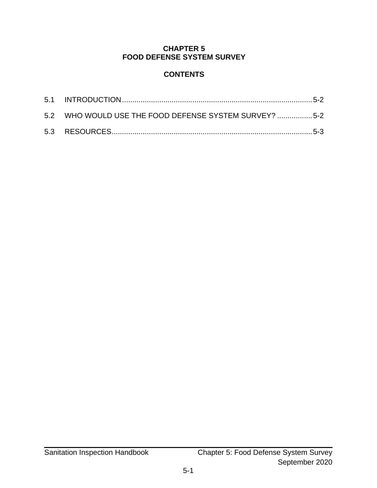#### **CHAPTER 5 FOOD DEFENSE SYSTEM SURVEY**

#### **CONTENTS**

<span id="page-48-0"></span>

| 5.2 WHO WOULD USE THE FOOD DEFENSE SYSTEM SURVEY? 5-2 |  |
|-------------------------------------------------------|--|
|                                                       |  |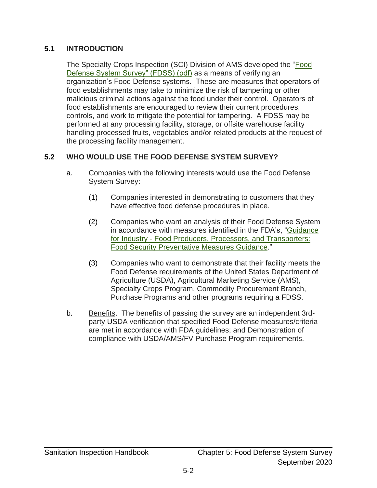#### <span id="page-49-0"></span>**5.1 INTRODUCTION**

The Specialty Crops Inspection (SCI) Division of AMS developed the ["Food](https://www.ams.usda.gov/sites/default/files/media/Food%20Defense%20System%20Survey.pdf)  [Defense System Survey" \(FDSS\) \(pdf\)](https://www.ams.usda.gov/sites/default/files/media/Food%20Defense%20System%20Survey.pdf) as a means of verifying an organization's Food Defense systems. These are measures that operators of food establishments may take to minimize the risk of tampering or other malicious criminal actions against the food under their control. Operators of food establishments are encouraged to review their current procedures, controls, and work to mitigate the potential for tampering. A FDSS may be performed at any processing facility, storage, or offsite warehouse facility handling processed fruits, vegetables and/or related products at the request of the processing facility management.

#### <span id="page-49-1"></span>**5.2 WHO WOULD USE THE FOOD DEFENSE SYSTEM SURVEY?**

- a. Companies with the following interests would use the Food Defense System Survey:
	- (1) Companies interested in demonstrating to customers that they have effective food defense procedures in place.
	- (2) Companies who want an analysis of their Food Defense System in accordance with measures identified in the FDA's, ["Guidance](https://www.fda.gov/regulatory-information/search-fda-guidance-documents/guidance-industry-food-security-preventive-measures-guidance-food-producers-processors-and)  for Industry - [Food Producers, Processors, and Transporters:](https://www.fda.gov/regulatory-information/search-fda-guidance-documents/guidance-industry-food-security-preventive-measures-guidance-food-producers-processors-and)  [Food Security Preventative Measures Guidance.](https://www.fda.gov/regulatory-information/search-fda-guidance-documents/guidance-industry-food-security-preventive-measures-guidance-food-producers-processors-and)"
	- (3) Companies who want to demonstrate that their facility meets the Food Defense requirements of the United States Department of Agriculture (USDA), Agricultural Marketing Service (AMS), Specialty Crops Program, Commodity Procurement Branch, Purchase Programs and other programs requiring a FDSS.
- b. Benefits. The benefits of passing the survey are an independent 3rdparty USDA verification that specified Food Defense measures/criteria are met in accordance with FDA guidelines; and Demonstration of compliance with USDA/AMS/FV Purchase Program requirements.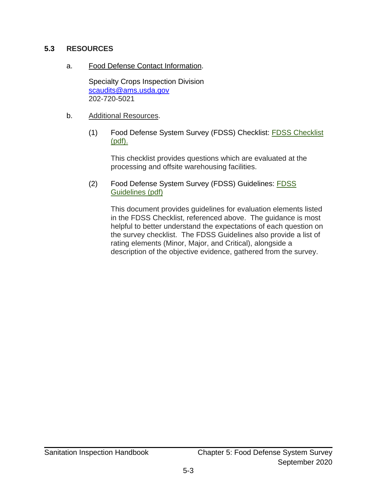#### <span id="page-50-0"></span>**5.3 RESOURCES**

#### a. Food Defense Contact Information.

Specialty Crops Inspection Division [scaudits@ams.usda.gov](mailto:scaudits@ams.usda.gov) 202-720-5021

#### b. Additional Resources.

(1) Food Defense System Survey (FDSS) Checklist: [FDSS Checklist](https://www.ams.usda.gov/sites/default/files/media/FDSS_Checklist%5B1%5D.pdf)  [\(pdf\).](https://www.ams.usda.gov/sites/default/files/media/FDSS_Checklist%5B1%5D.pdf)

This checklist provides questions which are evaluated at the processing and offsite warehousing facilities.

(2) Food Defense System Survey (FDSS) Guidelines: [FDSS](https://www.ams.usda.gov/sites/default/files/media/FDSS_Guidelines%5B1%5D.pdf)  [Guidelines \(pdf\)](https://www.ams.usda.gov/sites/default/files/media/FDSS_Guidelines%5B1%5D.pdf)

> This document provides guidelines for evaluation elements listed in the FDSS Checklist, referenced above. The guidance is most helpful to better understand the expectations of each question on the survey checklist. The FDSS Guidelines also provide a list of rating elements (Minor, Major, and Critical), alongside a description of the objective evidence, gathered from the survey.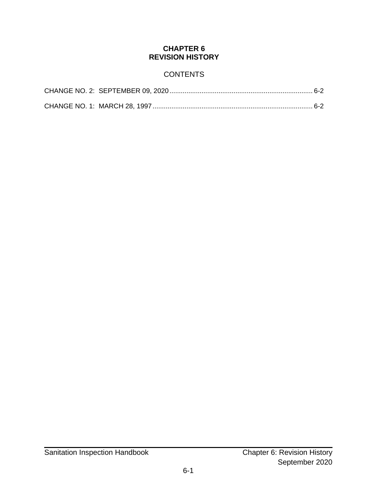#### **CHAPTER 6 REVISION HISTORY**

#### **CONTENTS**

<span id="page-51-0"></span>